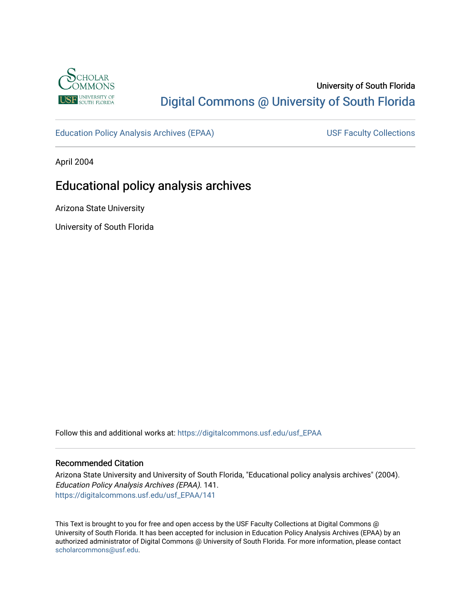

# University of South Florida [Digital Commons @ University of South Florida](https://digitalcommons.usf.edu/)

[Education Policy Analysis Archives \(EPAA\)](https://digitalcommons.usf.edu/usf_EPAA) USF Faculty Collections

April 2004

# Educational policy analysis archives

Arizona State University

University of South Florida

Follow this and additional works at: [https://digitalcommons.usf.edu/usf\\_EPAA](https://digitalcommons.usf.edu/usf_EPAA?utm_source=digitalcommons.usf.edu%2Fusf_EPAA%2F141&utm_medium=PDF&utm_campaign=PDFCoverPages)

#### Recommended Citation

Arizona State University and University of South Florida, "Educational policy analysis archives" (2004). Education Policy Analysis Archives (EPAA). 141. [https://digitalcommons.usf.edu/usf\\_EPAA/141](https://digitalcommons.usf.edu/usf_EPAA/141?utm_source=digitalcommons.usf.edu%2Fusf_EPAA%2F141&utm_medium=PDF&utm_campaign=PDFCoverPages)

This Text is brought to you for free and open access by the USF Faculty Collections at Digital Commons @ University of South Florida. It has been accepted for inclusion in Education Policy Analysis Archives (EPAA) by an authorized administrator of Digital Commons @ University of South Florida. For more information, please contact [scholarcommons@usf.edu.](mailto:scholarcommons@usf.edu)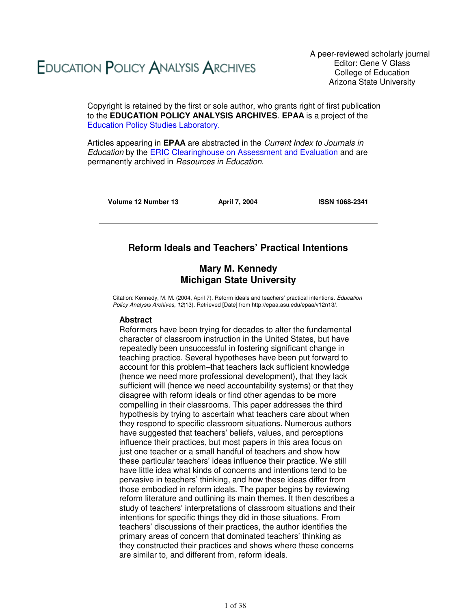# **EDUCATION POLICY ANALYSIS ARCHIVES**

A peer-reviewed scholarly journal Editor: Gene V Glass College of Education Arizona State University

Copyright is retained by the first or sole author, who grants right of first publication to the **EDUCATION POLICY ANALYSIS ARCHIVES**. **EPAA** is a project of the Education Policy Studies Laboratory.

Articles appearing in **EPAA** are abstracted in the Current Index to Journals in Education by the ERIC Clearinghouse on Assessment and Evaluation and are permanently archived in Resources in Education.

**Volume 12 Number 13 April 7, 2004 ISSN 1068-2341**

# **Reform Ideals and Teachers' Practical Intentions**

# **Mary M. Kennedy Michigan State University**

Citation: Kennedy, M. M. (2004, April 7). Reform ideals and teachers' practical intentions. Education Policy Analysis Archives, 12(13). Retrieved [Date] from http://epaa.asu.edu/epaa/v12n13/.

#### **Abstract**

Reformers have been trying for decades to alter the fundamental character of classroom instruction in the United States, but have repeatedly been unsuccessful in fostering significant change in teaching practice. Several hypotheses have been put forward to account for this problem–that teachers lack sufficient knowledge (hence we need more professional development), that they lack sufficient will (hence we need accountability systems) or that they disagree with reform ideals or find other agendas to be more compelling in their classrooms. This paper addresses the third hypothesis by trying to ascertain what teachers care about when they respond to specific classroom situations. Numerous authors have suggested that teachers' beliefs, values, and perceptions influence their practices, but most papers in this area focus on just one teacher or a small handful of teachers and show how these particular teachers' ideas influence their practice. We still have little idea what kinds of concerns and intentions tend to be pervasive in teachers' thinking, and how these ideas differ from those embodied in reform ideals. The paper begins by reviewing reform literature and outlining its main themes. It then describes a study of teachers' interpretations of classroom situations and their intentions for specific things they did in those situations. From teachers' discussions of their practices, the author identifies the primary areas of concern that dominated teachers' thinking as they constructed their practices and shows where these concerns are similar to, and different from, reform ideals.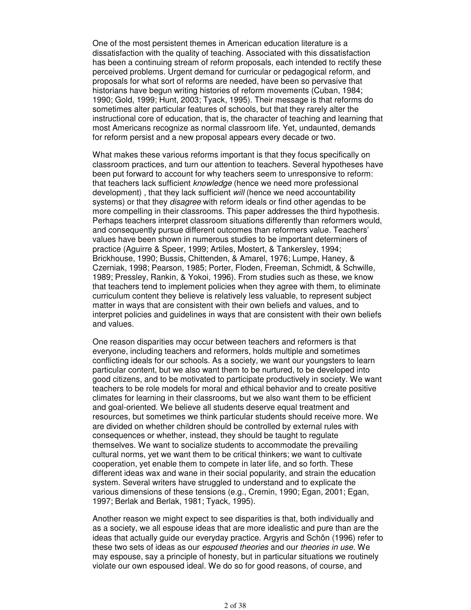One of the most persistent themes in American education literature is a dissatisfaction with the quality of teaching. Associated with this dissatisfaction has been a continuing stream of reform proposals, each intended to rectify these perceived problems. Urgent demand for curricular or pedagogical reform, and proposals for what sort of reforms are needed, have been so pervasive that historians have begun writing histories of reform movements (Cuban, 1984; 1990; Gold, 1999; Hunt, 2003; Tyack, 1995). Their message is that reforms do sometimes alter particular features of schools, but that they rarely alter the instructional core of education, that is, the character of teaching and learning that most Americans recognize as normal classroom life. Yet, undaunted, demands for reform persist and a new proposal appears every decade or two.

What makes these various reforms important is that they focus specifically on classroom practices, and turn our attention to teachers. Several hypotheses have been put forward to account for why teachers seem to unresponsive to reform: that teachers lack sufficient *knowledge* (hence we need more professional development), that they lack sufficient will (hence we need accountability systems) or that they *disagree* with reform ideals or find other agendas to be more compelling in their classrooms. This paper addresses the third hypothesis. Perhaps teachers interpret classroom situations differently than reformers would, and consequently pursue different outcomes than reformers value. Teachers' values have been shown in numerous studies to be important determiners of practice (Aguirre & Speer, 1999; Artiles, Mostert, & Tankersley, 1994; Brickhouse, 1990; Bussis, Chittenden, & Amarel, 1976; Lumpe, Haney, & Czerniak, 1998; Pearson, 1985; Porter, Floden, Freeman, Schmidt, & Schwille, 1989; Pressley, Rankin, & Yokoi, 1996). From studies such as these, we know that teachers tend to implement policies when they agree with them, to eliminate curriculum content they believe is relatively less valuable, to represent subject matter in ways that are consistent with their own beliefs and values, and to interpret policies and guidelines in ways that are consistent with their own beliefs and values.

One reason disparities may occur between teachers and reformers is that everyone, including teachers and reformers, holds multiple and sometimes conflicting ideals for our schools. As a society, we want our youngsters to learn particular content, but we also want them to be nurtured, to be developed into good citizens, and to be motivated to participate productively in society. We want teachers to be role models for moral and ethical behavior and to create positive climates for learning in their classrooms, but we also want them to be efficient and goal-oriented. We believe all students deserve equal treatment and resources, but sometimes we think particular students should receive more. We are divided on whether children should be controlled by external rules with consequences or whether, instead, they should be taught to regulate themselves. We want to socialize students to accommodate the prevailing cultural norms, yet we want them to be critical thinkers; we want to cultivate cooperation, yet enable them to compete in later life, and so forth. These different ideas wax and wane in their social popularity, and strain the education system. Several writers have struggled to understand and to explicate the various dimensions of these tensions (e.g., Cremin, 1990; Egan, 2001; Egan, 1997; Berlak and Berlak, 1981; Tyack, 1995).

Another reason we might expect to see disparities is that, both individually and as a society, we all espouse ideas that are more idealistic and pure than are the ideas that actually guide our everyday practice. Argyris and Schön (1996) refer to these two sets of ideas as our *espoused theories* and our *theories in use*. We may espouse, say a principle of honesty, but in particular situations we routinely violate our own espoused ideal. We do so for good reasons, of course, and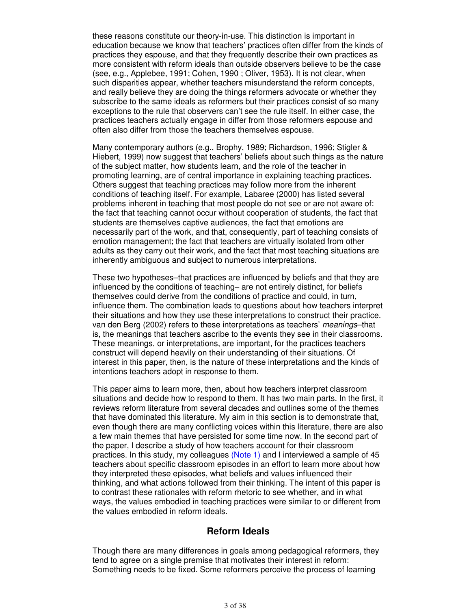these reasons constitute our theory-in-use. This distinction is important in education because we know that teachers' practices often differ from the kinds of practices they espouse, and that they frequently describe their own practices as more consistent with reform ideals than outside observers believe to be the case (see, e.g., Applebee, 1991; Cohen, 1990 ; Oliver, 1953). It is not clear, when such disparities appear, whether teachers misunderstand the reform concepts, and really believe they are doing the things reformers advocate or whether they subscribe to the same ideals as reformers but their practices consist of so many exceptions to the rule that observers can't see the rule itself. In either case, the practices teachers actually engage in differ from those reformers espouse and often also differ from those the teachers themselves espouse.

Many contemporary authors (e.g., Brophy, 1989; Richardson, 1996; Stigler & Hiebert, 1999) now suggest that teachers' beliefs about such things as the nature of the subject matter, how students learn, and the role of the teacher in promoting learning, are of central importance in explaining teaching practices. Others suggest that teaching practices may follow more from the inherent conditions of teaching itself. For example, Labaree (2000) has listed several problems inherent in teaching that most people do not see or are not aware of: the fact that teaching cannot occur without cooperation of students, the fact that students are themselves captive audiences, the fact that emotions are necessarily part of the work, and that, consequently, part of teaching consists of emotion management; the fact that teachers are virtually isolated from other adults as they carry out their work, and the fact that most teaching situations are inherently ambiguous and subject to numerous interpretations.

These two hypotheses–that practices are influenced by beliefs and that they are influenced by the conditions of teaching– are not entirely distinct, for beliefs themselves could derive from the conditions of practice and could, in turn, influence them. The combination leads to questions about how teachers interpret their situations and how they use these interpretations to construct their practice. van den Berg (2002) refers to these interpretations as teachers' meanings–that is, the meanings that teachers ascribe to the events they see in their classrooms. These meanings, or interpretations, are important, for the practices teachers construct will depend heavily on their understanding of their situations. Of interest in this paper, then, is the nature of these interpretations and the kinds of intentions teachers adopt in response to them.

This paper aims to learn more, then, about how teachers interpret classroom situations and decide how to respond to them. It has two main parts. In the first, it reviews reform literature from several decades and outlines some of the themes that have dominated this literature. My aim in this section is to demonstrate that, even though there are many conflicting voices within this literature, there are also a few main themes that have persisted for some time now. In the second part of the paper, I describe a study of how teachers account for their classroom practices. In this study, my colleagues (Note 1) and I interviewed a sample of 45 teachers about specific classroom episodes in an effort to learn more about how they interpreted these episodes, what beliefs and values influenced their thinking, and what actions followed from their thinking. The intent of this paper is to contrast these rationales with reform rhetoric to see whether, and in what ways, the values embodied in teaching practices were similar to or different from the values embodied in reform ideals.

# **Reform Ideals**

Though there are many differences in goals among pedagogical reformers, they tend to agree on a single premise that motivates their interest in reform: Something needs to be fixed. Some reformers perceive the process of learning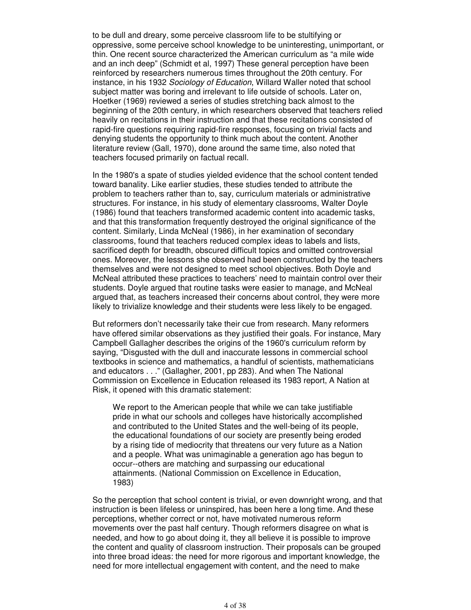to be dull and dreary, some perceive classroom life to be stultifying or oppressive, some perceive school knowledge to be uninteresting, unimportant, or thin. One recent source characterized the American curriculum as "a mile wide and an inch deep" (Schmidt et al, 1997) These general perception have been reinforced by researchers numerous times throughout the 20th century. For instance, in his 1932 Sociology of Education, Willard Waller noted that school subject matter was boring and irrelevant to life outside of schools. Later on, Hoetker (1969) reviewed a series of studies stretching back almost to the beginning of the 20th century, in which researchers observed that teachers relied heavily on recitations in their instruction and that these recitations consisted of rapid-fire questions requiring rapid-fire responses, focusing on trivial facts and denying students the opportunity to think much about the content. Another literature review (Gall, 1970), done around the same time, also noted that teachers focused primarily on factual recall.

In the 1980's a spate of studies yielded evidence that the school content tended toward banality. Like earlier studies, these studies tended to attribute the problem to teachers rather than to, say, curriculum materials or administrative structures. For instance, in his study of elementary classrooms, Walter Doyle (1986) found that teachers transformed academic content into academic tasks, and that this transformation frequently destroyed the original significance of the content. Similarly, Linda McNeal (1986), in her examination of secondary classrooms, found that teachers reduced complex ideas to labels and lists, sacrificed depth for breadth, obscured difficult topics and omitted controversial ones. Moreover, the lessons she observed had been constructed by the teachers themselves and were not designed to meet school objectives. Both Doyle and McNeal attributed these practices to teachers' need to maintain control over their students. Doyle argued that routine tasks were easier to manage, and McNeal argued that, as teachers increased their concerns about control, they were more likely to trivialize knowledge and their students were less likely to be engaged.

But reformers don't necessarily take their cue from research. Many reformers have offered similar observations as they justified their goals. For instance, Mary Campbell Gallagher describes the origins of the 1960's curriculum reform by saying, "Disgusted with the dull and inaccurate lessons in commercial school textbooks in science and mathematics, a handful of scientists, mathematicians and educators . . ." (Gallagher, 2001, pp 283). And when The National Commission on Excellence in Education released its 1983 report, A Nation at Risk, it opened with this dramatic statement:

We report to the American people that while we can take justifiable pride in what our schools and colleges have historically accomplished and contributed to the United States and the well-being of its people, the educational foundations of our society are presently being eroded by a rising tide of mediocrity that threatens our very future as a Nation and a people. What was unimaginable a generation ago has begun to occur--others are matching and surpassing our educational attainments. (National Commission on Excellence in Education, 1983)

So the perception that school content is trivial, or even downright wrong, and that instruction is been lifeless or uninspired, has been here a long time. And these perceptions, whether correct or not, have motivated numerous reform movements over the past half century. Though reformers disagree on what is needed, and how to go about doing it, they all believe it is possible to improve the content and quality of classroom instruction. Their proposals can be grouped into three broad ideas: the need for more rigorous and important knowledge, the need for more intellectual engagement with content, and the need to make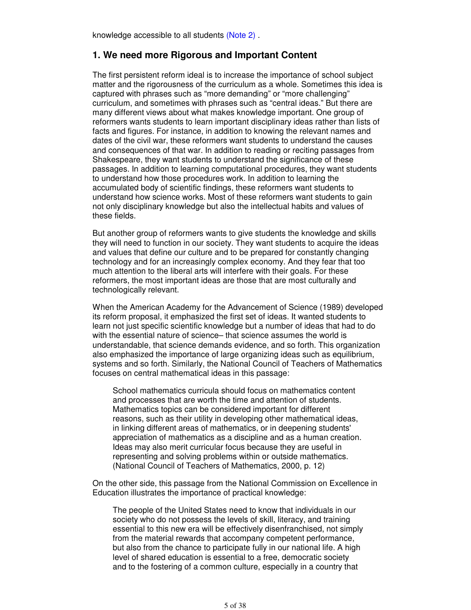knowledge accessible to all students (Note 2) .

# **1. We need more Rigorous and Important Content**

The first persistent reform ideal is to increase the importance of school subject matter and the rigorousness of the curriculum as a whole. Sometimes this idea is captured with phrases such as "more demanding" or "more challenging" curriculum, and sometimes with phrases such as "central ideas." But there are many different views about what makes knowledge important. One group of reformers wants students to learn important disciplinary ideas rather than lists of facts and figures. For instance, in addition to knowing the relevant names and dates of the civil war, these reformers want students to understand the causes and consequences of that war. In addition to reading or reciting passages from Shakespeare, they want students to understand the significance of these passages. In addition to learning computational procedures, they want students to understand how those procedures work. In addition to learning the accumulated body of scientific findings, these reformers want students to understand how science works. Most of these reformers want students to gain not only disciplinary knowledge but also the intellectual habits and values of these fields.

But another group of reformers wants to give students the knowledge and skills they will need to function in our society. They want students to acquire the ideas and values that define our culture and to be prepared for constantly changing technology and for an increasingly complex economy. And they fear that too much attention to the liberal arts will interfere with their goals. For these reformers, the most important ideas are those that are most culturally and technologically relevant.

When the American Academy for the Advancement of Science (1989) developed its reform proposal, it emphasized the first set of ideas. It wanted students to learn not just specific scientific knowledge but a number of ideas that had to do with the essential nature of science– that science assumes the world is understandable, that science demands evidence, and so forth. This organization also emphasized the importance of large organizing ideas such as equilibrium, systems and so forth. Similarly, the National Council of Teachers of Mathematics focuses on central mathematical ideas in this passage:

School mathematics curricula should focus on mathematics content and processes that are worth the time and attention of students. Mathematics topics can be considered important for different reasons, such as their utility in developing other mathematical ideas, in linking different areas of mathematics, or in deepening students' appreciation of mathematics as a discipline and as a human creation. Ideas may also merit curricular focus because they are useful in representing and solving problems within or outside mathematics. (National Council of Teachers of Mathematics, 2000, p. 12)

On the other side, this passage from the National Commission on Excellence in Education illustrates the importance of practical knowledge:

The people of the United States need to know that individuals in our society who do not possess the levels of skill, literacy, and training essential to this new era will be effectively disenfranchised, not simply from the material rewards that accompany competent performance, but also from the chance to participate fully in our national life. A high level of shared education is essential to a free, democratic society and to the fostering of a common culture, especially in a country that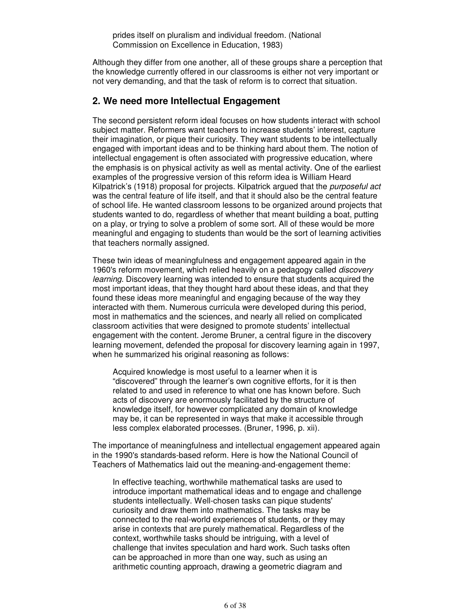Although they differ from one another, all of these groups share a perception that the knowledge currently offered in our classrooms is either not very important or not very demanding, and that the task of reform is to correct that situation.

# **2. We need more Intellectual Engagement**

The second persistent reform ideal focuses on how students interact with school subject matter. Reformers want teachers to increase students' interest, capture their imagination, or pique their curiosity. They want students to be intellectually engaged with important ideas and to be thinking hard about them. The notion of intellectual engagement is often associated with progressive education, where the emphasis is on physical activity as well as mental activity. One of the earliest examples of the progressive version of this reform idea is William Heard Kilpatrick's (1918) proposal for projects. Kilpatrick argued that the *purposeful act* was the central feature of life itself, and that it should also be the central feature of school life. He wanted classroom lessons to be organized around projects that students wanted to do, regardless of whether that meant building a boat, putting on a play, or trying to solve a problem of some sort. All of these would be more meaningful and engaging to students than would be the sort of learning activities that teachers normally assigned.

These twin ideas of meaningfulness and engagement appeared again in the 1960's reform movement, which relied heavily on a pedagogy called *discovery* learning. Discovery learning was intended to ensure that students acquired the most important ideas, that they thought hard about these ideas, and that they found these ideas more meaningful and engaging because of the way they interacted with them. Numerous curricula were developed during this period, most in mathematics and the sciences, and nearly all relied on complicated classroom activities that were designed to promote students' intellectual engagement with the content. Jerome Bruner, a central figure in the discovery learning movement, defended the proposal for discovery learning again in 1997, when he summarized his original reasoning as follows:

Acquired knowledge is most useful to a learner when it is "discovered" through the learner's own cognitive efforts, for it is then related to and used in reference to what one has known before. Such acts of discovery are enormously facilitated by the structure of knowledge itself, for however complicated any domain of knowledge may be, it can be represented in ways that make it accessible through less complex elaborated processes. (Bruner, 1996, p. xii).

The importance of meaningfulness and intellectual engagement appeared again in the 1990's standards-based reform. Here is how the National Council of Teachers of Mathematics laid out the meaning-and-engagement theme:

In effective teaching, worthwhile mathematical tasks are used to introduce important mathematical ideas and to engage and challenge students intellectually. Well-chosen tasks can pique students' curiosity and draw them into mathematics. The tasks may be connected to the real-world experiences of students, or they may arise in contexts that are purely mathematical. Regardless of the context, worthwhile tasks should be intriguing, with a level of challenge that invites speculation and hard work. Such tasks often can be approached in more than one way, such as using an arithmetic counting approach, drawing a geometric diagram and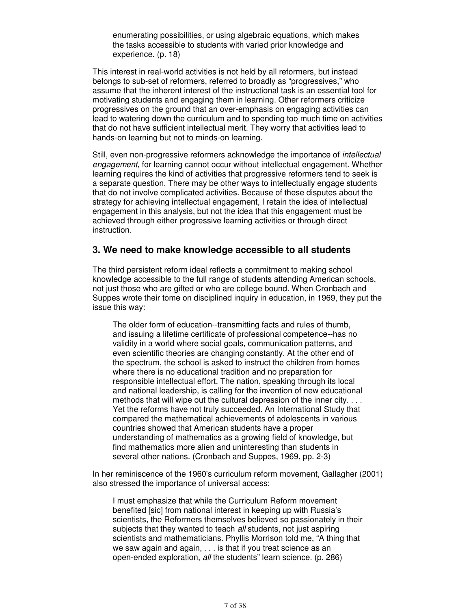enumerating possibilities, or using algebraic equations, which makes the tasks accessible to students with varied prior knowledge and experience. (p. 18)

This interest in real-world activities is not held by all reformers, but instead belongs to sub-set of reformers, referred to broadly as "progressives," who assume that the inherent interest of the instructional task is an essential tool for motivating students and engaging them in learning. Other reformers criticize progressives on the ground that an over-emphasis on engaging activities can lead to watering down the curriculum and to spending too much time on activities that do not have sufficient intellectual merit. They worry that activities lead to hands-on learning but not to minds-on learning.

Still, even non-progressive reformers acknowledge the importance of intellectual engagement, for learning cannot occur without intellectual engagement. Whether learning requires the kind of activities that progressive reformers tend to seek is a separate question. There may be other ways to intellectually engage students that do not involve complicated activities. Because of these disputes about the strategy for achieving intellectual engagement, I retain the idea of intellectual engagement in this analysis, but not the idea that this engagement must be achieved through either progressive learning activities or through direct instruction.

# **3. We need to make knowledge accessible to all students**

The third persistent reform ideal reflects a commitment to making school knowledge accessible to the full range of students attending American schools, not just those who are gifted or who are college bound. When Cronbach and Suppes wrote their tome on disciplined inquiry in education, in 1969, they put the issue this way:

The older form of education--transmitting facts and rules of thumb, and issuing a lifetime certificate of professional competence--has no validity in a world where social goals, communication patterns, and even scientific theories are changing constantly. At the other end of the spectrum, the school is asked to instruct the children from homes where there is no educational tradition and no preparation for responsible intellectual effort. The nation, speaking through its local and national leadership, is calling for the invention of new educational methods that will wipe out the cultural depression of the inner city. . . . Yet the reforms have not truly succeeded. An International Study that compared the mathematical achievements of adolescents in various countries showed that American students have a proper understanding of mathematics as a growing field of knowledge, but find mathematics more alien and uninteresting than students in several other nations. (Cronbach and Suppes, 1969, pp. 2-3)

In her reminiscence of the 1960's curriculum reform movement, Gallagher (2001) also stressed the importance of universal access:

I must emphasize that while the Curriculum Reform movement benefited [sic] from national interest in keeping up with Russia's scientists, the Reformers themselves believed so passionately in their subjects that they wanted to teach all students, not just aspiring scientists and mathematicians. Phyllis Morrison told me, "A thing that we saw again and again, . . . is that if you treat science as an open-ended exploration, all the students" learn science. (p. 286)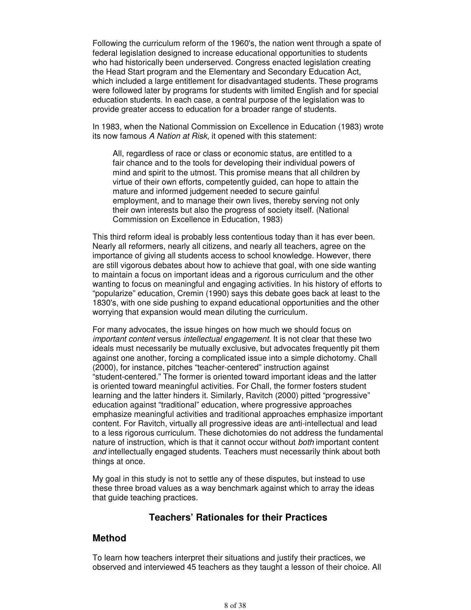Following the curriculum reform of the 1960's, the nation went through a spate of federal legislation designed to increase educational opportunities to students who had historically been underserved. Congress enacted legislation creating the Head Start program and the Elementary and Secondary Education Act, which included a large entitlement for disadvantaged students. These programs were followed later by programs for students with limited English and for special education students. In each case, a central purpose of the legislation was to provide greater access to education for a broader range of students.

In 1983, when the National Commission on Excellence in Education (1983) wrote its now famous A Nation at Risk, it opened with this statement:

All, regardless of race or class or economic status, are entitled to a fair chance and to the tools for developing their individual powers of mind and spirit to the utmost. This promise means that all children by virtue of their own efforts, competently guided, can hope to attain the mature and informed judgement needed to secure gainful employment, and to manage their own lives, thereby serving not only their own interests but also the progress of society itself. (National Commission on Excellence in Education, 1983)

This third reform ideal is probably less contentious today than it has ever been. Nearly all reformers, nearly all citizens, and nearly all teachers, agree on the importance of giving all students access to school knowledge. However, there are still vigorous debates about how to achieve that goal, with one side wanting to maintain a focus on important ideas and a rigorous curriculum and the other wanting to focus on meaningful and engaging activities. In his history of efforts to "popularize" education, Cremin (1990) says this debate goes back at least to the 1830's, with one side pushing to expand educational opportunities and the other worrying that expansion would mean diluting the curriculum.

For many advocates, the issue hinges on how much we should focus on important content versus intellectual engagement. It is not clear that these two ideals must necessarily be mutually exclusive, but advocates frequently pit them against one another, forcing a complicated issue into a simple dichotomy. Chall (2000), for instance, pitches "teacher-centered" instruction against "student-centered." The former is oriented toward important ideas and the latter is oriented toward meaningful activities. For Chall, the former fosters student learning and the latter hinders it. Similarly, Ravitch (2000) pitted "progressive" education against "traditional" education, where progressive approaches emphasize meaningful activities and traditional approaches emphasize important content. For Ravitch, virtually all progressive ideas are anti-intellectual and lead to a less rigorous curriculum. These dichotomies do not address the fundamental nature of instruction, which is that it cannot occur without both important content and intellectually engaged students. Teachers must necessarily think about both things at once.

My goal in this study is not to settle any of these disputes, but instead to use these three broad values as a way benchmark against which to array the ideas that guide teaching practices.

# **Teachers' Rationales for their Practices**

# **Method**

To learn how teachers interpret their situations and justify their practices, we observed and interviewed 45 teachers as they taught a lesson of their choice. All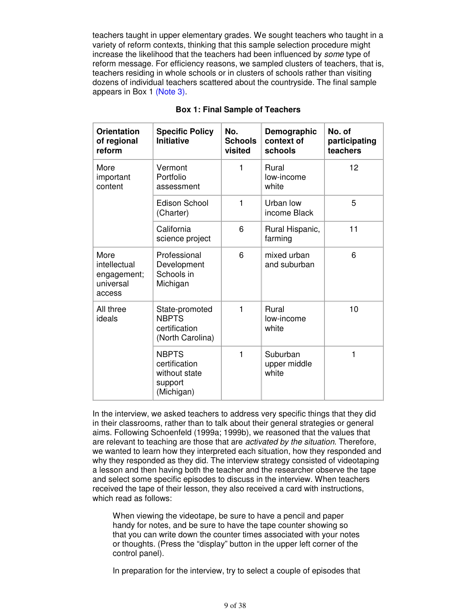teachers taught in upper elementary grades. We sought teachers who taught in a variety of reform contexts, thinking that this sample selection procedure might increase the likelihood that the teachers had been influenced by some type of reform message. For efficiency reasons, we sampled clusters of teachers, that is, teachers residing in whole schools or in clusters of schools rather than visiting dozens of individual teachers scattered about the countryside. The final sample appears in Box 1 (Note 3).

| <b>Orientation</b><br>of regional<br>reform                | <b>Specific Policy</b><br><b>Initiative</b>                             | No.<br><b>Schools</b><br>visited | Demographic<br>context of<br>schools | No. of<br>participating<br>teachers |
|------------------------------------------------------------|-------------------------------------------------------------------------|----------------------------------|--------------------------------------|-------------------------------------|
| More<br>important<br>content                               | Vermont<br>Portfolio<br>assessment                                      | 1                                | Rural<br>low-income<br>white         | 12                                  |
|                                                            | <b>Edison School</b><br>(Charter)                                       | 1                                | Urban low<br>income Black            | 5                                   |
|                                                            | California<br>science project                                           | 6                                | Rural Hispanic,<br>farming           | 11                                  |
| More<br>intellectual<br>engagement;<br>universal<br>access | Professional<br>Development<br>Schools in<br>Michigan                   | 6                                | mixed urban<br>and suburban          | 6                                   |
| All three<br>ideals                                        | State-promoted<br><b>NBPTS</b><br>certification<br>(North Carolina)     | 1                                | Rural<br>low-income<br>white         | 10                                  |
|                                                            | <b>NBPTS</b><br>certification<br>without state<br>support<br>(Michigan) | 1                                | Suburban<br>upper middle<br>white    | 1                                   |

#### **Box 1: Final Sample of Teachers**

In the interview, we asked teachers to address very specific things that they did in their classrooms, rather than to talk about their general strategies or general aims. Following Schoenfeld (1999a; 1999b), we reasoned that the values that are relevant to teaching are those that are *activated by the situation*. Therefore, we wanted to learn how they interpreted each situation, how they responded and why they responded as they did. The interview strategy consisted of videotaping a lesson and then having both the teacher and the researcher observe the tape and select some specific episodes to discuss in the interview. When teachers received the tape of their lesson, they also received a card with instructions, which read as follows:

When viewing the videotape, be sure to have a pencil and paper handy for notes, and be sure to have the tape counter showing so that you can write down the counter times associated with your notes or thoughts. (Press the "display" button in the upper left corner of the control panel).

In preparation for the interview, try to select a couple of episodes that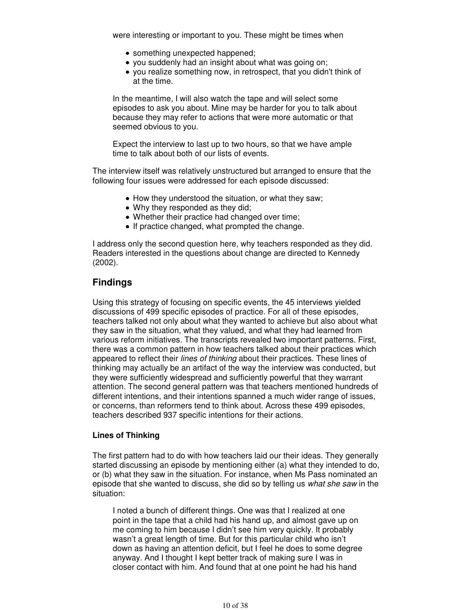were interesting or important to you. These might be times when

- something unexpected happened;
- you suddenly had an insight about what was going on;
- you realize something now, in retrospect, that you didn't think of at the time.

In the meantime, I will also watch the tape and will select some episodes to ask you about. Mine may be harder for you to talk about because they may refer to actions that were more automatic or that seemed obvious to you.

Expect the interview to last up to two hours, so that we have ample time to talk about both of our lists of events.

The interview itself was relatively unstructured but arranged to ensure that the following four issues were addressed for each episode discussed:

- How they understood the situation, or what they saw;
- Why they responded as they did;
- Whether their practice had changed over time;
- If practice changed, what prompted the change.

I address only the second question here, why teachers responded as they did. Readers interested in the questions about change are directed to Kennedy (2002).

# **Findings**

Using this strategy of focusing on specific events, the 45 interviews yielded discussions of 499 specific episodes of practice. For all of these episodes, teachers talked not only about what they wanted to achieve but also about what they saw in the situation, what they valued, and what they had learned from various reform initiatives. The transcripts revealed two important patterns. First, there was a common pattern in how teachers talked about their practices which appeared to reflect their lines of thinking about their practices. These lines of thinking may actually be an artifact of the way the interview was conducted, but they were sufficiently widespread and sufficiently powerful that they warrant attention. The second general pattern was that teachers mentioned hundreds of different intentions, and their intentions spanned a much wider range of issues, or concerns, than reformers tend to think about. Across these 499 episodes, teachers described 937 specific intentions for their actions.

#### **Lines of Thinking**

The first pattern had to do with how teachers laid our their ideas. They generally started discussing an episode by mentioning either (a) what they intended to do, or (b) what they saw in the situation. For instance, when Ms Pass nominated an episode that she wanted to discuss, she did so by telling us what she saw in the situation:

I noted a bunch of different things. One was that I realized at one point in the tape that a child had his hand up, and almost gave up on me coming to him because I didn't see him very quickly. It probably wasn't a great length of time. But for this particular child who isn't down as having an attention deficit, but I feel he does to some degree anyway. And I thought I kept better track of making sure I was in closer contact with him. And found that at one point he had his hand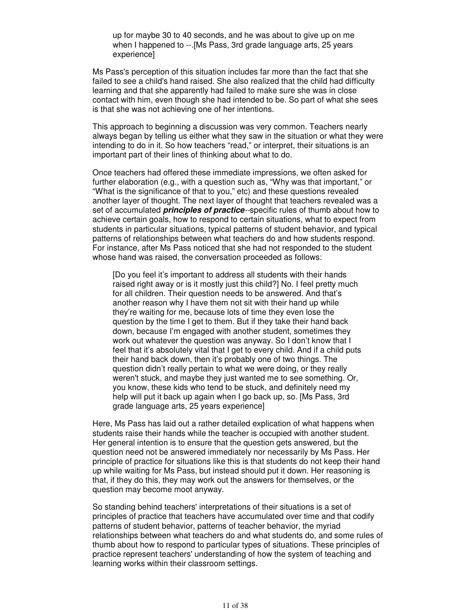up for maybe 30 to 40 seconds, and he was about to give up on me when I happened to --.[Ms Pass, 3rd grade language arts, 25 years experience]

Ms Pass's perception of this situation includes far more than the fact that she failed to see a child's hand raised. She also realized that the child had difficulty learning and that she apparently had failed to make sure she was in close contact with him, even though she had intended to be. So part of what she sees is that she was not achieving one of her intentions.

This approach to beginning a discussion was very common. Teachers nearly always began by telling us either what they saw in the situation or what they were intending to do in it. So how teachers "read," or interpret, their situations is an important part of their lines of thinking about what to do.

Once teachers had offered these immediate impressions, we often asked for further elaboration (e.g., with a question such as, "Why was that important," or "What is the significance of that to you," etc) and these questions revealed another layer of thought. The next layer of thought that teachers revealed was a set of accumulated **principles of practice**--specific rules of thumb about how to achieve certain goals, how to respond to certain situations, what to expect from students in particular situations, typical patterns of student behavior, and typical patterns of relationships between what teachers do and how students respond. For instance, after Ms Pass noticed that she had not responded to the student whose hand was raised, the conversation proceeded as follows:

[Do you feel it's important to address all students with their hands raised right away or is it mostly just this child?] No. I feel pretty much for all children. Their question needs to be answered. And that's another reason why I have them not sit with their hand up while they're waiting for me, because lots of time they even lose the question by the time I get to them. But if they take their hand back down, because I'm engaged with another student, sometimes they work out whatever the question was anyway. So I don't know that I feel that it's absolutely vital that I get to every child. And if a child puts their hand back down, then it's probably one of two things. The question didn't really pertain to what we were doing, or they really weren't stuck, and maybe they just wanted me to see something. Or, you know, these kids who tend to be stuck, and definitely need my help will put it back up again when I go back up, so. [Ms Pass, 3rd grade language arts, 25 years experience]

Here, Ms Pass has laid out a rather detailed explication of what happens when students raise their hands while the teacher is occupied with another student. Her general intention is to ensure that the question gets answered, but the question need not be answered immediately nor necessarily by Ms Pass. Her principle of practice for situations like this is that students do not keep their hand up while waiting for Ms Pass, but instead should put it down. Her reasoning is that, if they do this, they may work out the answers for themselves, or the question may become moot anyway.

So standing behind teachers' interpretations of their situations is a set of principles of practice that teachers have accumulated over time and that codify patterns of student behavior, patterns of teacher behavior, the myriad relationships between what teachers do and what students do, and some rules of thumb about how to respond to particular types of situations. These principles of practice represent teachers' understanding of how the system of teaching and learning works within their classroom settings.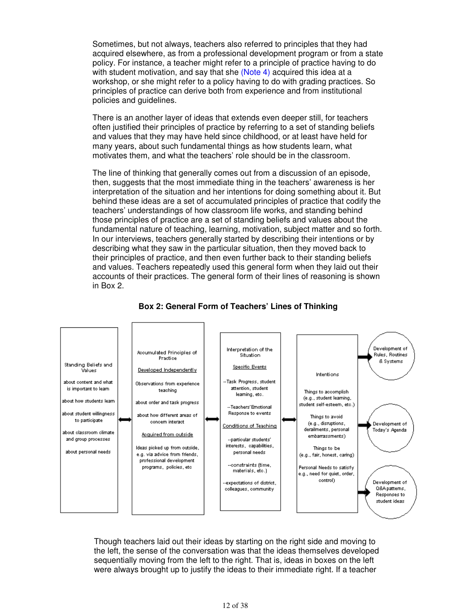Sometimes, but not always, teachers also referred to principles that they had acquired elsewhere, as from a professional development program or from a state policy. For instance, a teacher might refer to a principle of practice having to do with student motivation, and say that she (Note 4) acquired this idea at a workshop, or she might refer to a policy having to do with grading practices. So principles of practice can derive both from experience and from institutional policies and guidelines.

There is an another layer of ideas that extends even deeper still, for teachers often justified their principles of practice by referring to a set of standing beliefs and values that they may have held since childhood, or at least have held for many years, about such fundamental things as how students learn, what motivates them, and what the teachers' role should be in the classroom.

The line of thinking that generally comes out from a discussion of an episode, then, suggests that the most immediate thing in the teachers' awareness is her interpretation of the situation and her intentions for doing something about it. But behind these ideas are a set of accumulated principles of practice that codify the teachers' understandings of how classroom life works, and standing behind those principles of practice are a set of standing beliefs and values about the fundamental nature of teaching, learning, motivation, subject matter and so forth. In our interviews, teachers generally started by describing their intentions or by describing what they saw in the particular situation, then they moved back to their principles of practice, and then even further back to their standing beliefs and values. Teachers repeatedly used this general form when they laid out their accounts of their practices. The general form of their lines of reasoning is shown in Box 2.



# **Box 2: General Form of Teachers' Lines of Thinking**

Though teachers laid out their ideas by starting on the right side and moving to the left, the sense of the conversation was that the ideas themselves developed sequentially moving from the left to the right. That is, ideas in boxes on the left were always brought up to justify the ideas to their immediate right. If a teacher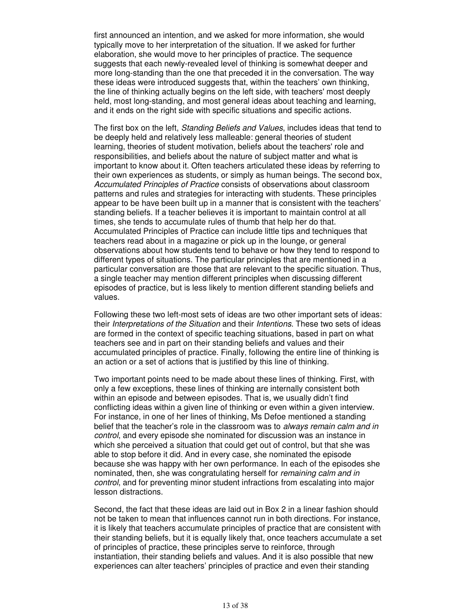first announced an intention, and we asked for more information, she would typically move to her interpretation of the situation. If we asked for further elaboration, she would move to her principles of practice. The sequence suggests that each newly-revealed level of thinking is somewhat deeper and more long-standing than the one that preceded it in the conversation. The way these ideas were introduced suggests that, within the teachers' own thinking, the line of thinking actually begins on the left side, with teachers' most deeply held, most long-standing, and most general ideas about teaching and learning, and it ends on the right side with specific situations and specific actions.

The first box on the left, Standing Beliefs and Values, includes ideas that tend to be deeply held and relatively less malleable: general theories of student learning, theories of student motivation, beliefs about the teachers' role and responsibilities, and beliefs about the nature of subject matter and what is important to know about it. Often teachers articulated these ideas by referring to their own experiences as students, or simply as human beings. The second box, Accumulated Principles of Practice consists of observations about classroom patterns and rules and strategies for interacting with students. These principles appear to be have been built up in a manner that is consistent with the teachers' standing beliefs. If a teacher believes it is important to maintain control at all times, she tends to accumulate rules of thumb that help her do that. Accumulated Principles of Practice can include little tips and techniques that teachers read about in a magazine or pick up in the lounge, or general observations about how students tend to behave or how they tend to respond to different types of situations. The particular principles that are mentioned in a particular conversation are those that are relevant to the specific situation. Thus, a single teacher may mention different principles when discussing different episodes of practice, but is less likely to mention different standing beliefs and values.

Following these two left-most sets of ideas are two other important sets of ideas: their Interpretations of the Situation and their Intentions. These two sets of ideas are formed in the context of specific teaching situations, based in part on what teachers see and in part on their standing beliefs and values and their accumulated principles of practice. Finally, following the entire line of thinking is an action or a set of actions that is justified by this line of thinking.

Two important points need to be made about these lines of thinking. First, with only a few exceptions, these lines of thinking are internally consistent both within an episode and between episodes. That is, we usually didn't find conflicting ideas within a given line of thinking or even within a given interview. For instance, in one of her lines of thinking, Ms Defoe mentioned a standing belief that the teacher's role in the classroom was to *always remain calm and in* control, and every episode she nominated for discussion was an instance in which she perceived a situation that could get out of control, but that she was able to stop before it did. And in every case, she nominated the episode because she was happy with her own performance. In each of the episodes she nominated, then, she was congratulating herself for remaining calm and in control, and for preventing minor student infractions from escalating into major lesson distractions.

Second, the fact that these ideas are laid out in Box 2 in a linear fashion should not be taken to mean that influences cannot run in both directions. For instance, it is likely that teachers accumulate principles of practice that are consistent with their standing beliefs, but it is equally likely that, once teachers accumulate a set of principles of practice, these principles serve to reinforce, through instantiation, their standing beliefs and values. And it is also possible that new experiences can alter teachers' principles of practice and even their standing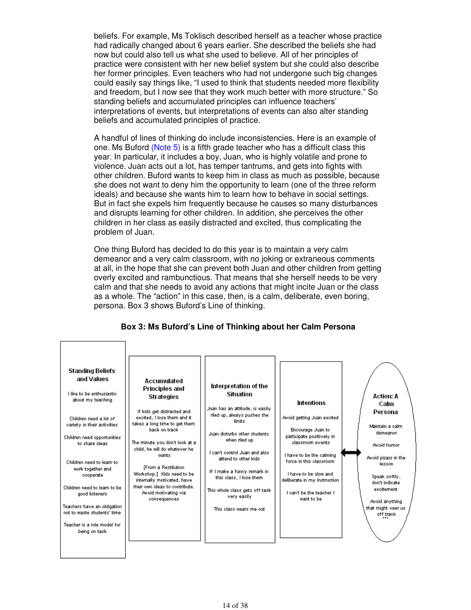beliefs. For example, Ms Toklisch described herself as a teacher whose practice had radically changed about 6 years earlier. She described the beliefs she had now but could also tell us what she used to believe. All of her principles of practice were consistent with her new belief system but she could also describe her former principles. Even teachers who had not undergone such big changes could easily say things like, "I used to think that students needed more flexibility and freedom, but I now see that they work much better with more structure." So standing beliefs and accumulated principles can influence teachers' interpretations of events, but interpretations of events can also alter standing beliefs and accumulated principles of practice.

A handful of lines of thinking do include inconsistencies. Here is an example of one. Ms Buford (Note 5) is a fifth grade teacher who has a difficult class this year. In particular, it includes a boy, Juan, who is highly volatile and prone to violence. Juan acts out a lot, has temper tantrums, and gets into fights with other children. Buford wants to keep him in class as much as possible, because she does not want to deny him the opportunity to learn (one of the three reform ideals) and because she wants him to learn how to behave in social settings. But in fact she expels him frequently because he causes so many disturbances and disrupts learning for other children. In addition, she perceives the other children in her class as easily distracted and excited, thus complicating the problem of Juan.

One thing Buford has decided to do this year is to maintain a very calm demeanor and a very calm classroom, with no joking or extraneous comments at all, in the hope that she can prevent both Juan and other children from getting overly excited and rambunctious. That means that she herself needs to be very calm and that she needs to avoid any actions that might incite Juan or the class as a whole. The "action" in this case, then, is a calm, deliberate, even boring, persona. Box 3 shows Buford's Line of thinking.

#### **Box 3: Ms Buford's Line of Thinking about her Calm Persona**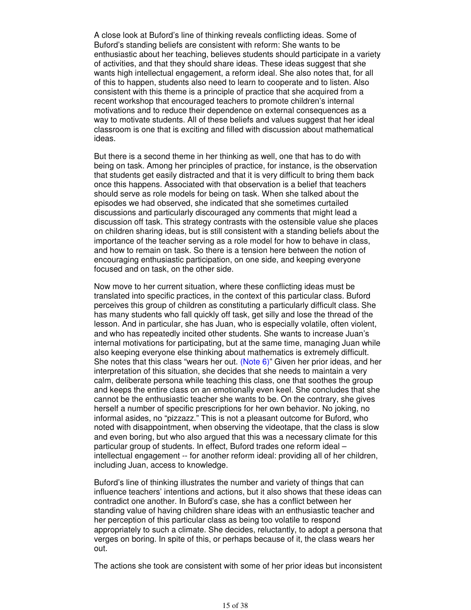A close look at Buford's line of thinking reveals conflicting ideas. Some of Buford's standing beliefs are consistent with reform: She wants to be enthusiastic about her teaching, believes students should participate in a variety of activities, and that they should share ideas. These ideas suggest that she wants high intellectual engagement, a reform ideal. She also notes that, for all of this to happen, students also need to learn to cooperate and to listen. Also consistent with this theme is a principle of practice that she acquired from a recent workshop that encouraged teachers to promote children's internal motivations and to reduce their dependence on external consequences as a way to motivate students. All of these beliefs and values suggest that her ideal classroom is one that is exciting and filled with discussion about mathematical ideas.

But there is a second theme in her thinking as well, one that has to do with being on task. Among her principles of practice, for instance, is the observation that students get easily distracted and that it is very difficult to bring them back once this happens. Associated with that observation is a belief that teachers should serve as role models for being on task. When she talked about the episodes we had observed, she indicated that she sometimes curtailed discussions and particularly discouraged any comments that might lead a discussion off task. This strategy contrasts with the ostensible value she places on children sharing ideas, but is still consistent with a standing beliefs about the importance of the teacher serving as a role model for how to behave in class, and how to remain on task. So there is a tension here between the notion of encouraging enthusiastic participation, on one side, and keeping everyone focused and on task, on the other side.

Now move to her current situation, where these conflicting ideas must be translated into specific practices, in the context of this particular class. Buford perceives this group of children as constituting a particularly difficult class. She has many students who fall quickly off task, get silly and lose the thread of the lesson. And in particular, she has Juan, who is especially volatile, often violent, and who has repeatedly incited other students. She wants to increase Juan's internal motivations for participating, but at the same time, managing Juan while also keeping everyone else thinking about mathematics is extremely difficult. She notes that this class "wears her out. (Note 6)" Given her prior ideas, and her interpretation of this situation, she decides that she needs to maintain a very calm, deliberate persona while teaching this class, one that soothes the group and keeps the entire class on an emotionally even keel. She concludes that she cannot be the enthusiastic teacher she wants to be. On the contrary, she gives herself a number of specific prescriptions for her own behavior. No joking, no informal asides, no "pizzazz." This is not a pleasant outcome for Buford, who noted with disappointment, when observing the videotape, that the class is slow and even boring, but who also argued that this was a necessary climate for this particular group of students. In effect, Buford trades one reform ideal – intellectual engagement -- for another reform ideal: providing all of her children, including Juan, access to knowledge.

Buford's line of thinking illustrates the number and variety of things that can influence teachers' intentions and actions, but it also shows that these ideas can contradict one another. In Buford's case, she has a conflict between her standing value of having children share ideas with an enthusiastic teacher and her perception of this particular class as being too volatile to respond appropriately to such a climate. She decides, reluctantly, to adopt a persona that verges on boring. In spite of this, or perhaps because of it, the class wears her out.

The actions she took are consistent with some of her prior ideas but inconsistent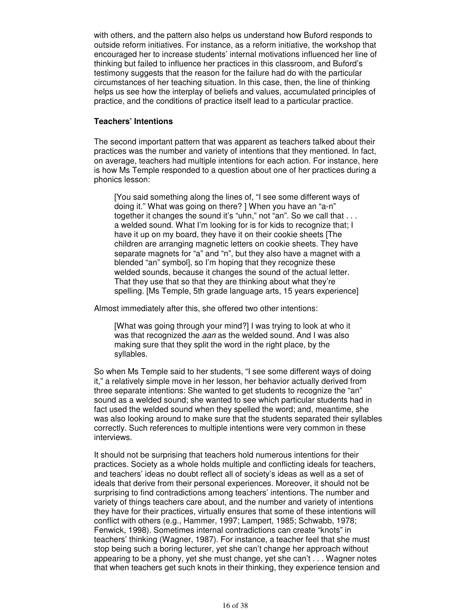with others, and the pattern also helps us understand how Buford responds to outside reform initiatives. For instance, as a reform initiative, the workshop that encouraged her to increase students' internal motivations influenced her line of thinking but failed to influence her practices in this classroom, and Buford's testimony suggests that the reason for the failure had do with the particular circumstances of her teaching situation. In this case, then, the line of thinking helps us see how the interplay of beliefs and values, accumulated principles of practice, and the conditions of practice itself lead to a particular practice.

### **Teachers' Intentions**

The second important pattern that was apparent as teachers talked about their practices was the number and variety of intentions that they mentioned. In fact, on average, teachers had multiple intentions for each action. For instance, here is how Ms Temple responded to a question about one of her practices during a phonics lesson:

[You said something along the lines of, "I see some different ways of doing it." What was going on there? ] When you have an "a-n" together it changes the sound it's "uhn," not "an". So we call that . . . a welded sound. What I'm looking for is for kids to recognize that; I have it up on my board, they have it on their cookie sheets [The children are arranging magnetic letters on cookie sheets. They have separate magnets for "a" and "n", but they also have a magnet with a blended "an" symbol], so I'm hoping that they recognize these welded sounds, because it changes the sound of the actual letter. That they use that so that they are thinking about what they're spelling. [Ms Temple, 5th grade language arts, 15 years experience]

Almost immediately after this, she offered two other intentions:

[What was going through your mind?] I was trying to look at who it was that recognized the *aan* as the welded sound. And I was also making sure that they split the word in the right place, by the syllables.

So when Ms Temple said to her students, "I see some different ways of doing it," a relatively simple move in her lesson, her behavior actually derived from three separate intentions: She wanted to get students to recognize the "an" sound as a welded sound; she wanted to see which particular students had in fact used the welded sound when they spelled the word; and, meantime, she was also looking around to make sure that the students separated their syllables correctly. Such references to multiple intentions were very common in these interviews.

It should not be surprising that teachers hold numerous intentions for their practices. Society as a whole holds multiple and conflicting ideals for teachers, and teachers' ideas no doubt reflect all of society's ideas as well as a set of ideals that derive from their personal experiences. Moreover, it should not be surprising to find contradictions among teachers' intentions. The number and variety of things teachers care about, and the number and variety of intentions they have for their practices, virtually ensures that some of these intentions will conflict with others (e.g., Hammer, 1997; Lampert, 1985; Schwabb, 1978; Fenwick, 1998). Sometimes internal contradictions can create "knots" in teachers' thinking (Wagner, 1987). For instance, a teacher feel that she must stop being such a boring lecturer, yet she can't change her approach without appearing to be a phony, yet she must change, yet she can't . . . Wagner notes that when teachers get such knots in their thinking, they experience tension and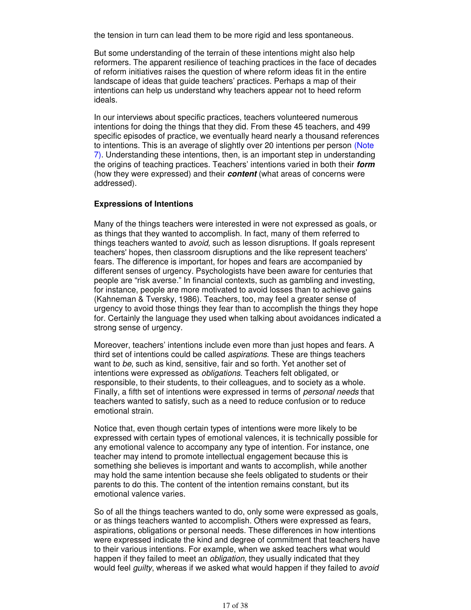the tension in turn can lead them to be more rigid and less spontaneous.

But some understanding of the terrain of these intentions might also help reformers. The apparent resilience of teaching practices in the face of decades of reform initiatives raises the question of where reform ideas fit in the entire landscape of ideas that guide teachers' practices. Perhaps a map of their intentions can help us understand why teachers appear not to heed reform ideals.

In our interviews about specific practices, teachers volunteered numerous intentions for doing the things that they did. From these 45 teachers, and 499 specific episodes of practice, we eventually heard nearly a thousand references to intentions. This is an average of slightly over 20 intentions per person (Note 7). Understanding these intentions, then, is an important step in understanding the origins of teaching practices. Teachers' intentions varied in both their **form** (how they were expressed) and their **content** (what areas of concerns were addressed).

#### **Expressions of Intentions**

Many of the things teachers were interested in were not expressed as goals, or as things that they wanted to accomplish. In fact, many of them referred to things teachers wanted to *avoid*, such as lesson disruptions. If goals represent teachers' hopes, then classroom disruptions and the like represent teachers' fears. The difference is important, for hopes and fears are accompanied by different senses of urgency. Psychologists have been aware for centuries that people are "risk averse." In financial contexts, such as gambling and investing, for instance, people are more motivated to avoid losses than to achieve gains (Kahneman & Tversky, 1986). Teachers, too, may feel a greater sense of urgency to avoid those things they fear than to accomplish the things they hope for. Certainly the language they used when talking about avoidances indicated a strong sense of urgency.

Moreover, teachers' intentions include even more than just hopes and fears. A third set of intentions could be called *aspirations*. These are things teachers want to be, such as kind, sensitive, fair and so forth. Yet another set of intentions were expressed as obligations. Teachers felt obligated, or responsible, to their students, to their colleagues, and to society as a whole. Finally, a fifth set of intentions were expressed in terms of *personal needs* that teachers wanted to satisfy, such as a need to reduce confusion or to reduce emotional strain.

Notice that, even though certain types of intentions were more likely to be expressed with certain types of emotional valences, it is technically possible for any emotional valence to accompany any type of intention. For instance, one teacher may intend to promote intellectual engagement because this is something she believes is important and wants to accomplish, while another may hold the same intention because she feels obligated to students or their parents to do this. The content of the intention remains constant, but its emotional valence varies.

So of all the things teachers wanted to do, only some were expressed as goals, or as things teachers wanted to accomplish. Others were expressed as fears, aspirations, obligations or personal needs. These differences in how intentions were expressed indicate the kind and degree of commitment that teachers have to their various intentions. For example, when we asked teachers what would happen if they failed to meet an *obligation*, they usually indicated that they would feel guilty, whereas if we asked what would happen if they failed to avoid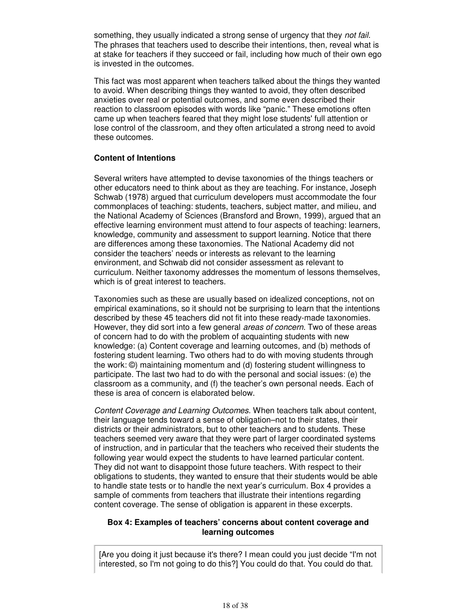something, they usually indicated a strong sense of urgency that they not fail. The phrases that teachers used to describe their intentions, then, reveal what is at stake for teachers if they succeed or fail, including how much of their own ego is invested in the outcomes.

This fact was most apparent when teachers talked about the things they wanted to avoid. When describing things they wanted to avoid, they often described anxieties over real or potential outcomes, and some even described their reaction to classroom episodes with words like "panic." These emotions often came up when teachers feared that they might lose students' full attention or lose control of the classroom, and they often articulated a strong need to avoid these outcomes.

#### **Content of Intentions**

Several writers have attempted to devise taxonomies of the things teachers or other educators need to think about as they are teaching. For instance, Joseph Schwab (1978) argued that curriculum developers must accommodate the four commonplaces of teaching: students, teachers, subject matter, and milieu, and the National Academy of Sciences (Bransford and Brown, 1999), argued that an effective learning environment must attend to four aspects of teaching: learners, knowledge, community and assessment to support learning. Notice that there are differences among these taxonomies. The National Academy did not consider the teachers' needs or interests as relevant to the learning environment, and Schwab did not consider assessment as relevant to curriculum. Neither taxonomy addresses the momentum of lessons themselves, which is of great interest to teachers.

Taxonomies such as these are usually based on idealized conceptions, not on empirical examinations, so it should not be surprising to learn that the intentions described by these 45 teachers did not fit into these ready-made taxonomies. However, they did sort into a few general *areas of concern*. Two of these areas of concern had to do with the problem of acquainting students with new knowledge: (a) Content coverage and learning outcomes, and (b) methods of fostering student learning. Two others had to do with moving students through the work: ©) maintaining momentum and (d) fostering student willingness to participate. The last two had to do with the personal and social issues: (e) the classroom as a community, and (f) the teacher's own personal needs. Each of these is area of concern is elaborated below.

Content Coverage and Learning Outcomes. When teachers talk about content, their language tends toward a sense of obligation–not to their states, their districts or their administrators, but to other teachers and to students. These teachers seemed very aware that they were part of larger coordinated systems of instruction, and in particular that the teachers who received their students the following year would expect the students to have learned particular content. They did not want to disappoint those future teachers. With respect to their obligations to students, they wanted to ensure that their students would be able to handle state tests or to handle the next year's curriculum. Box 4 provides a sample of comments from teachers that illustrate their intentions regarding content coverage. The sense of obligation is apparent in these excerpts.

#### **Box 4: Examples of teachers' concerns about content coverage and learning outcomes**

[Are you doing it just because it's there? I mean could you just decide "I'm not interested, so I'm not going to do this?] You could do that. You could do that.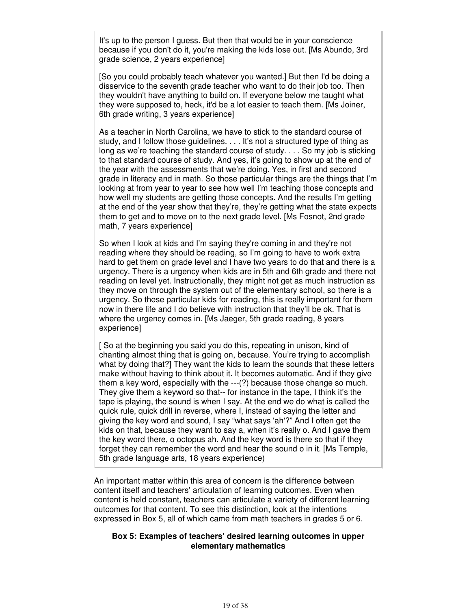It's up to the person I guess. But then that would be in your conscience because if you don't do it, you're making the kids lose out. [Ms Abundo, 3rd grade science, 2 years experience]

[So you could probably teach whatever you wanted.] But then I'd be doing a disservice to the seventh grade teacher who want to do their job too. Then they wouldn't have anything to build on. If everyone below me taught what they were supposed to, heck, it'd be a lot easier to teach them. [Ms Joiner, 6th grade writing, 3 years experience]

As a teacher in North Carolina, we have to stick to the standard course of study, and I follow those guidelines. . . . It's not a structured type of thing as long as we're teaching the standard course of study. . . . So my job is sticking to that standard course of study. And yes, it's going to show up at the end of the year with the assessments that we're doing. Yes, in first and second grade in literacy and in math. So those particular things are the things that I'm looking at from year to year to see how well I'm teaching those concepts and how well my students are getting those concepts. And the results I'm getting at the end of the year show that they're, they're getting what the state expects them to get and to move on to the next grade level. [Ms Fosnot, 2nd grade math, 7 years experience]

So when I look at kids and I'm saying they're coming in and they're not reading where they should be reading, so I'm going to have to work extra hard to get them on grade level and I have two years to do that and there is a urgency. There is a urgency when kids are in 5th and 6th grade and there not reading on level yet. Instructionally, they might not get as much instruction as they move on through the system out of the elementary school, so there is a urgency. So these particular kids for reading, this is really important for them now in there life and I do believe with instruction that they'll be ok. That is where the urgency comes in. [Ms Jaeger, 5th grade reading, 8 years experience]

[ So at the beginning you said you do this, repeating in unison, kind of chanting almost thing that is going on, because. You're trying to accomplish what by doing that?] They want the kids to learn the sounds that these letters make without having to think about it. It becomes automatic. And if they give them a key word, especially with the ---(?) because those change so much. They give them a keyword so that-- for instance in the tape, I think it's the tape is playing, the sound is when I say. At the end we do what is called the quick rule, quick drill in reverse, where I, instead of saying the letter and giving the key word and sound, I say "what says 'ah'?" And I often get the kids on that, because they want to say a, when it's really o. And I gave them the key word there, o octopus ah. And the key word is there so that if they forget they can remember the word and hear the sound o in it. [Ms Temple, 5th grade language arts, 18 years experience)

An important matter within this area of concern is the difference between content itself and teachers' articulation of learning outcomes. Even when content is held constant, teachers can articulate a variety of different learning outcomes for that content. To see this distinction, look at the intentions expressed in Box 5, all of which came from math teachers in grades 5 or 6.

#### **Box 5: Examples of teachers' desired learning outcomes in upper elementary mathematics**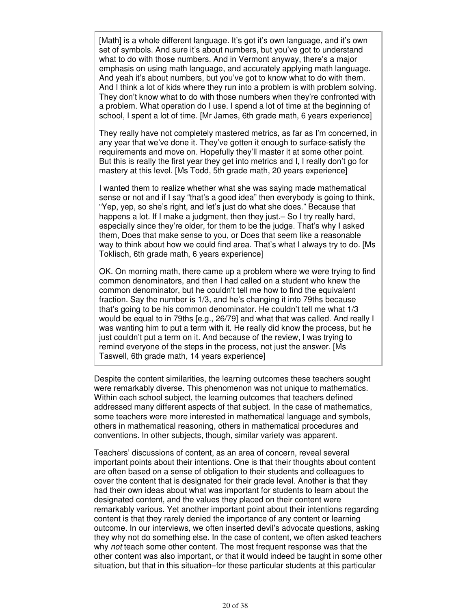[Math] is a whole different language. It's got it's own language, and it's own set of symbols. And sure it's about numbers, but you've got to understand what to do with those numbers. And in Vermont anyway, there's a major emphasis on using math language, and accurately applying math language. And yeah it's about numbers, but you've got to know what to do with them. And I think a lot of kids where they run into a problem is with problem solving. They don't know what to do with those numbers when they're confronted with a problem. What operation do I use. I spend a lot of time at the beginning of school, I spent a lot of time. [Mr James, 6th grade math, 6 years experience]

They really have not completely mastered metrics, as far as I'm concerned, in any year that we've done it. They've gotten it enough to surface-satisfy the requirements and move on. Hopefully they'll master it at some other point. But this is really the first year they get into metrics and I, I really don't go for mastery at this level. [Ms Todd, 5th grade math, 20 years experience]

I wanted them to realize whether what she was saying made mathematical sense or not and if I say "that's a good idea" then everybody is going to think, "Yep, yep, so she's right, and let's just do what she does." Because that happens a lot. If I make a judgment, then they just. - So I try really hard, especially since they're older, for them to be the judge. That's why I asked them, Does that make sense to you, or Does that seem like a reasonable way to think about how we could find area. That's what I always try to do. [Ms Toklisch, 6th grade math, 6 years experience]

OK. On morning math, there came up a problem where we were trying to find common denominators, and then I had called on a student who knew the common denominator, but he couldn't tell me how to find the equivalent fraction. Say the number is 1/3, and he's changing it into 79ths because that's going to be his common denominator. He couldn't tell me what 1/3 would be equal to in 79ths [e.g., 26/79] and what that was called. And really I was wanting him to put a term with it. He really did know the process, but he just couldn't put a term on it. And because of the review, I was trying to remind everyone of the steps in the process, not just the answer. [Ms Taswell, 6th grade math, 14 years experience]

Despite the content similarities, the learning outcomes these teachers sought were remarkably diverse. This phenomenon was not unique to mathematics. Within each school subject, the learning outcomes that teachers defined addressed many different aspects of that subject. In the case of mathematics, some teachers were more interested in mathematical language and symbols, others in mathematical reasoning, others in mathematical procedures and conventions. In other subjects, though, similar variety was apparent.

Teachers' discussions of content, as an area of concern, reveal several important points about their intentions. One is that their thoughts about content are often based on a sense of obligation to their students and colleagues to cover the content that is designated for their grade level. Another is that they had their own ideas about what was important for students to learn about the designated content, and the values they placed on their content were remarkably various. Yet another important point about their intentions regarding content is that they rarely denied the importance of any content or learning outcome. In our interviews, we often inserted devil's advocate questions, asking they why not do something else. In the case of content, we often asked teachers why not teach some other content. The most frequent response was that the other content was also important, or that it would indeed be taught in some other situation, but that in this situation–for these particular students at this particular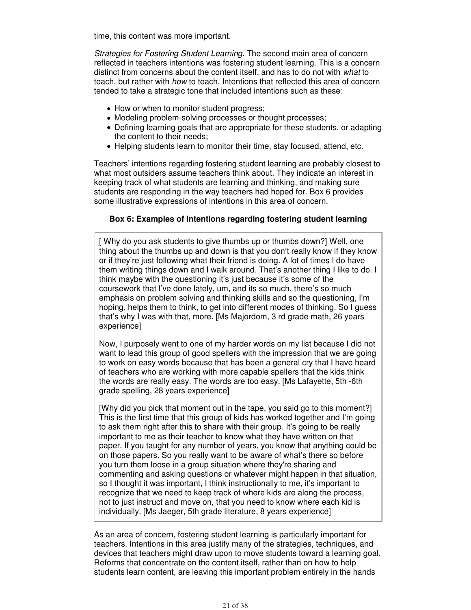time, this content was more important.

Strategies for Fostering Student Learning. The second main area of concern reflected in teachers intentions was fostering student learning. This is a concern distinct from concerns about the content itself, and has to do not with what to teach, but rather with *how* to teach. Intentions that reflected this area of concern tended to take a strategic tone that included intentions such as these:

- How or when to monitor student progress;
- Modeling problem-solving processes or thought processes;
- Defining learning goals that are appropriate for these students, or adapting the content to their needs;
- Helping students learn to monitor their time, stay focused, attend, etc.

Teachers' intentions regarding fostering student learning are probably closest to what most outsiders assume teachers think about. They indicate an interest in keeping track of what students are learning and thinking, and making sure students are responding in the way teachers had hoped for. Box 6 provides some illustrative expressions of intentions in this area of concern.

# **Box 6: Examples of intentions regarding fostering student learning**

[ Why do you ask students to give thumbs up or thumbs down?] Well, one thing about the thumbs up and down is that you don't really know if they know or if they're just following what their friend is doing. A lot of times I do have them writing things down and I walk around. That's another thing I like to do. I think maybe with the questioning it's just because it's some of the coursework that I've done lately, um, and its so much, there's so much emphasis on problem solving and thinking skills and so the questioning, I'm hoping, helps them to think, to get into different modes of thinking. So I guess that's why I was with that, more. [Ms Majordom, 3 rd grade math, 26 years experience]

Now, I purposely went to one of my harder words on my list because I did not want to lead this group of good spellers with the impression that we are going to work on easy words because that has been a general cry that I have heard of teachers who are working with more capable spellers that the kids think the words are really easy. The words are too easy. [Ms Lafayette, 5th -6th grade spelling, 28 years experience]

[Why did you pick that moment out in the tape, you said go to this moment?] This is the first time that this group of kids has worked together and I'm going to ask them right after this to share with their group. It's going to be really important to me as their teacher to know what they have written on that paper. If you taught for any number of years, you know that anything could be on those papers. So you really want to be aware of what's there so before you turn them loose in a group situation where they're sharing and commenting and asking questions or whatever might happen in that situation, so I thought it was important, I think instructionally to me, it's important to recognize that we need to keep track of where kids are along the process, not to just instruct and move on, that you need to know where each kid is individually. [Ms Jaeger, 5th grade literature, 8 years experience]

As an area of concern, fostering student learning is particularly important for teachers. Intentions in this area justify many of the strategies, techniques, and devices that teachers might draw upon to move students toward a learning goal. Reforms that concentrate on the content itself, rather than on how to help students learn content, are leaving this important problem entirely in the hands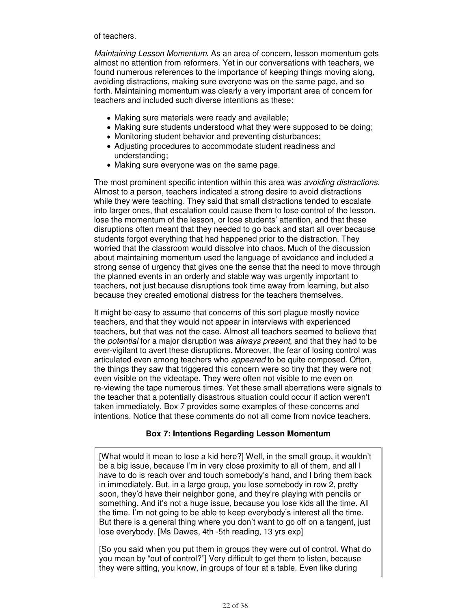#### of teachers.

Maintaining Lesson Momentum. As an area of concern, lesson momentum gets almost no attention from reformers. Yet in our conversations with teachers, we found numerous references to the importance of keeping things moving along, avoiding distractions, making sure everyone was on the same page, and so forth. Maintaining momentum was clearly a very important area of concern for teachers and included such diverse intentions as these:

- Making sure materials were ready and available;
- Making sure students understood what they were supposed to be doing;
- Monitoring student behavior and preventing disturbances;
- Adjusting procedures to accommodate student readiness and understanding;
- Making sure everyone was on the same page.

The most prominent specific intention within this area was *avoiding distractions*. Almost to a person, teachers indicated a strong desire to avoid distractions while they were teaching. They said that small distractions tended to escalate into larger ones, that escalation could cause them to lose control of the lesson, lose the momentum of the lesson, or lose students' attention, and that these disruptions often meant that they needed to go back and start all over because students forgot everything that had happened prior to the distraction. They worried that the classroom would dissolve into chaos. Much of the discussion about maintaining momentum used the language of avoidance and included a strong sense of urgency that gives one the sense that the need to move through the planned events in an orderly and stable way was urgently important to teachers, not just because disruptions took time away from learning, but also because they created emotional distress for the teachers themselves.

It might be easy to assume that concerns of this sort plague mostly novice teachers, and that they would not appear in interviews with experienced teachers, but that was not the case. Almost all teachers seemed to believe that the *potential* for a major disruption was *always present*, and that they had to be ever-vigilant to avert these disruptions. Moreover, the fear of losing control was articulated even among teachers who *appeared* to be quite composed. Often, the things they saw that triggered this concern were so tiny that they were not even visible on the videotape. They were often not visible to me even on re-viewing the tape numerous times. Yet these small aberrations were signals to the teacher that a potentially disastrous situation could occur if action weren't taken immediately. Box 7 provides some examples of these concerns and intentions. Notice that these comments do not all come from novice teachers.

#### **Box 7: Intentions Regarding Lesson Momentum**

[What would it mean to lose a kid here?] Well, in the small group, it wouldn't be a big issue, because I'm in very close proximity to all of them, and all I have to do is reach over and touch somebody's hand, and I bring them back in immediately. But, in a large group, you lose somebody in row 2, pretty soon, they'd have their neighbor gone, and they're playing with pencils or something. And it's not a huge issue, because you lose kids all the time. All the time. I'm not going to be able to keep everybody's interest all the time. But there is a general thing where you don't want to go off on a tangent, just lose everybody. [Ms Dawes, 4th -5th reading, 13 yrs exp]

[So you said when you put them in groups they were out of control. What do you mean by "out of control?"] Very difficult to get them to listen, because they were sitting, you know, in groups of four at a table. Even like during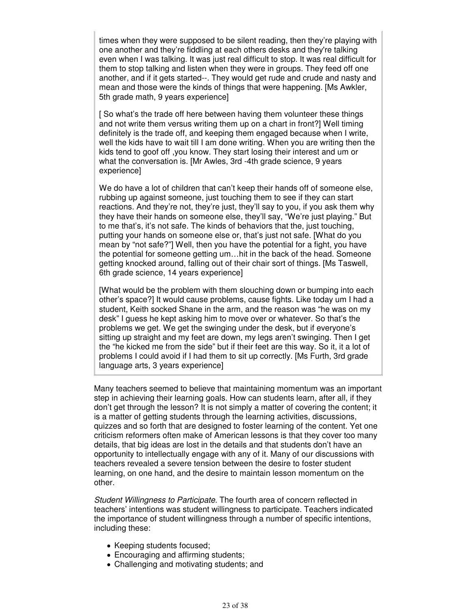times when they were supposed to be silent reading, then they're playing with one another and they're fiddling at each others desks and they're talking even when I was talking. It was just real difficult to stop. It was real difficult for them to stop talking and listen when they were in groups. They feed off one another, and if it gets started--. They would get rude and crude and nasty and mean and those were the kinds of things that were happening. [Ms Awkler, 5th grade math, 9 years experience]

[ So what's the trade off here between having them volunteer these things and not write them versus writing them up on a chart in front?] Well timing definitely is the trade off, and keeping them engaged because when I write, well the kids have to wait till I am done writing. When you are writing then the kids tend to goof off ,you know. They start losing their interest and um or what the conversation is. [Mr Awles, 3rd -4th grade science, 9 years experience]

We do have a lot of children that can't keep their hands off of someone else, rubbing up against someone, just touching them to see if they can start reactions. And they're not, they're just, they'll say to you, if you ask them why they have their hands on someone else, they'll say, "We're just playing." But to me that's, it's not safe. The kinds of behaviors that the, just touching, putting your hands on someone else or, that's just not safe. [What do you mean by "not safe?"] Well, then you have the potential for a fight, you have the potential for someone getting um…hit in the back of the head. Someone getting knocked around, falling out of their chair sort of things. [Ms Taswell, 6th grade science, 14 years experience]

[What would be the problem with them slouching down or bumping into each other's space?] It would cause problems, cause fights. Like today um I had a student, Keith socked Shane in the arm, and the reason was "he was on my desk" I guess he kept asking him to move over or whatever. So that's the problems we get. We get the swinging under the desk, but if everyone's sitting up straight and my feet are down, my legs aren't swinging. Then I get the "he kicked me from the side" but if their feet are this way. So it, it a lot of problems I could avoid if I had them to sit up correctly. [Ms Furth, 3rd grade language arts, 3 years experience]

Many teachers seemed to believe that maintaining momentum was an important step in achieving their learning goals. How can students learn, after all, if they don't get through the lesson? It is not simply a matter of covering the content; it is a matter of getting students through the learning activities, discussions, quizzes and so forth that are designed to foster learning of the content. Yet one criticism reformers often make of American lessons is that they cover too many details, that big ideas are lost in the details and that students don't have an opportunity to intellectually engage with any of it. Many of our discussions with teachers revealed a severe tension between the desire to foster student learning, on one hand, and the desire to maintain lesson momentum on the other.

Student Willingness to Participate. The fourth area of concern reflected in teachers' intentions was student willingness to participate. Teachers indicated the importance of student willingness through a number of specific intentions, including these:

- Keeping students focused;
- Encouraging and affirming students;
- Challenging and motivating students; and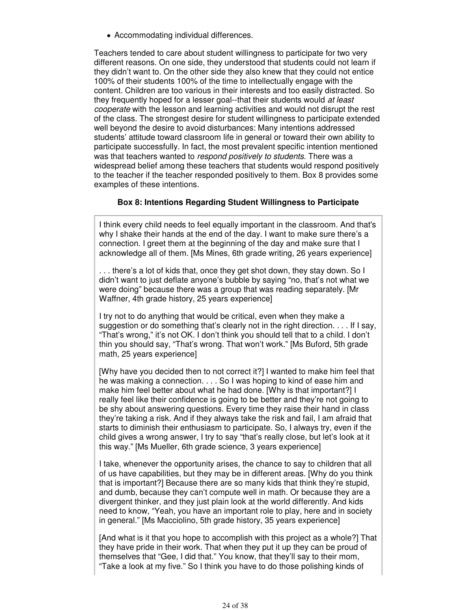Accommodating individual differences.

Teachers tended to care about student willingness to participate for two very different reasons. On one side, they understood that students could not learn if they didn't want to. On the other side they also knew that they could not entice 100% of their students 100% of the time to intellectually engage with the content. Children are too various in their interests and too easily distracted. So they frequently hoped for a lesser goal--that their students would at least cooperate with the lesson and learning activities and would not disrupt the rest of the class. The strongest desire for student willingness to participate extended well beyond the desire to avoid disturbances: Many intentions addressed students' attitude toward classroom life in general or toward their own ability to participate successfully. In fact, the most prevalent specific intention mentioned was that teachers wanted to respond positively to students. There was a widespread belief among these teachers that students would respond positively to the teacher if the teacher responded positively to them. Box 8 provides some examples of these intentions.

# **Box 8: Intentions Regarding Student Willingness to Participate**

I think every child needs to feel equally important in the classroom. And that's why I shake their hands at the end of the day. I want to make sure there's a connection. I greet them at the beginning of the day and make sure that I acknowledge all of them. [Ms Mines, 6th grade writing, 26 years experience]

. . . there's a lot of kids that, once they get shot down, they stay down. So I didn't want to just deflate anyone's bubble by saying "no, that's not what we were doing" because there was a group that was reading separately. [Mr Waffner, 4th grade history, 25 years experience]

I try not to do anything that would be critical, even when they make a suggestion or do something that's clearly not in the right direction. . . . If I say, "That's wrong," it's not OK. I don't think you should tell that to a child. I don't thin you should say, "That's wrong. That won't work." [Ms Buford, 5th grade math, 25 years experience]

[Why have you decided then to not correct it?] I wanted to make him feel that he was making a connection. . . . So I was hoping to kind of ease him and make him feel better about what he had done. [Why is that important?] I really feel like their confidence is going to be better and they're not going to be shy about answering questions. Every time they raise their hand in class they're taking a risk. And if they always take the risk and fail, I am afraid that starts to diminish their enthusiasm to participate. So, I always try, even if the child gives a wrong answer, I try to say "that's really close, but let's look at it this way." [Ms Mueller, 6th grade science, 3 years experience]

I take, whenever the opportunity arises, the chance to say to children that all of us have capabilities, but they may be in different areas. [Why do you think that is important?] Because there are so many kids that think they're stupid, and dumb, because they can't compute well in math. Or because they are a divergent thinker, and they just plain look at the world differently. And kids need to know, "Yeah, you have an important role to play, here and in society in general." [Ms Macciolino, 5th grade history, 35 years experience]

[And what is it that you hope to accomplish with this project as a whole?] That they have pride in their work. That when they put it up they can be proud of themselves that "Gee, I did that." You know, that they'll say to their mom, "Take a look at my five." So I think you have to do those polishing kinds of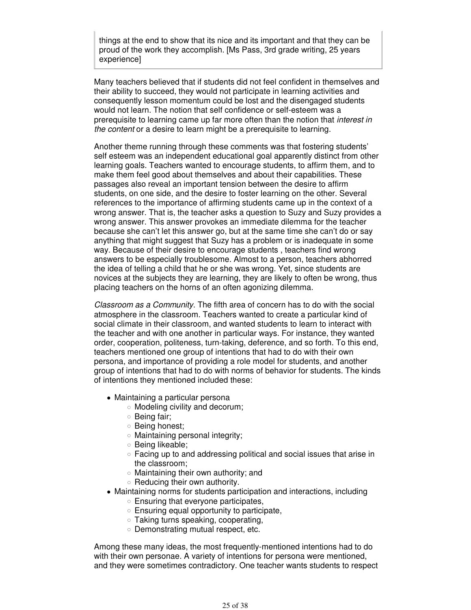things at the end to show that its nice and its important and that they can be proud of the work they accomplish. [Ms Pass, 3rd grade writing, 25 years experience]

Many teachers believed that if students did not feel confident in themselves and their ability to succeed, they would not participate in learning activities and consequently lesson momentum could be lost and the disengaged students would not learn. The notion that self confidence or self-esteem was a prerequisite to learning came up far more often than the notion that *interest in* the content or a desire to learn might be a prerequisite to learning.

Another theme running through these comments was that fostering students' self esteem was an independent educational goal apparently distinct from other learning goals. Teachers wanted to encourage students, to affirm them, and to make them feel good about themselves and about their capabilities. These passages also reveal an important tension between the desire to affirm students, on one side, and the desire to foster learning on the other. Several references to the importance of affirming students came up in the context of a wrong answer. That is, the teacher asks a question to Suzy and Suzy provides a wrong answer. This answer provokes an immediate dilemma for the teacher because she can't let this answer go, but at the same time she can't do or say anything that might suggest that Suzy has a problem or is inadequate in some way. Because of their desire to encourage students , teachers find wrong answers to be especially troublesome. Almost to a person, teachers abhorred the idea of telling a child that he or she was wrong. Yet, since students are novices at the subjects they are learning, they are likely to often be wrong, thus placing teachers on the horns of an often agonizing dilemma.

Classroom as a Community. The fifth area of concern has to do with the social atmosphere in the classroom. Teachers wanted to create a particular kind of social climate in their classroom, and wanted students to learn to interact with the teacher and with one another in particular ways. For instance, they wanted order, cooperation, politeness, turn-taking, deference, and so forth. To this end, teachers mentioned one group of intentions that had to do with their own persona, and importance of providing a role model for students, and another group of intentions that had to do with norms of behavior for students. The kinds of intentions they mentioned included these:

- Maintaining a particular persona
	- Modeling civility and decorum;
	- Being fair:
	- Being honest;
	- Maintaining personal integrity;
	- o Being likeable;
	- $\circ$  Facing up to and addressing political and social issues that arise in the classroom;
	- $\circ$  Maintaining their own authority; and
	- $\circ$  Reducing their own authority.
- Maintaining norms for students participation and interactions, including
	- $\circ$  Ensuring that everyone participates,
	- $\circ$  Ensuring equal opportunity to participate,
	- Taking turns speaking, cooperating,
	- Demonstrating mutual respect, etc.

Among these many ideas, the most frequently-mentioned intentions had to do with their own personae. A variety of intentions for persona were mentioned, and they were sometimes contradictory. One teacher wants students to respect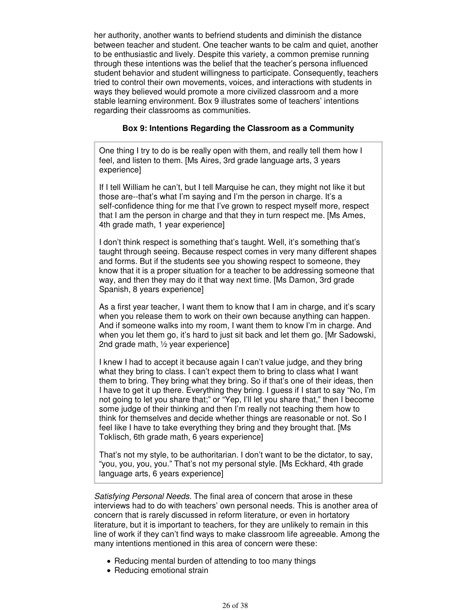her authority, another wants to befriend students and diminish the distance between teacher and student. One teacher wants to be calm and quiet, another to be enthusiastic and lively. Despite this variety, a common premise running through these intentions was the belief that the teacher's persona influenced student behavior and student willingness to participate. Consequently, teachers tried to control their own movements, voices, and interactions with students in ways they believed would promote a more civilized classroom and a more stable learning environment. Box 9 illustrates some of teachers' intentions regarding their classrooms as communities.

#### **Box 9: Intentions Regarding the Classroom as a Community**

One thing I try to do is be really open with them, and really tell them how I feel, and listen to them. [Ms Aires, 3rd grade language arts, 3 years experience]

If I tell William he can't, but I tell Marquise he can, they might not like it but those are--that's what I'm saying and I'm the person in charge. It's a self-confidence thing for me that I've grown to respect myself more, respect that I am the person in charge and that they in turn respect me. [Ms Ames, 4th grade math, 1 year experience]

I don't think respect is something that's taught. Well, it's something that's taught through seeing. Because respect comes in very many different shapes and forms. But if the students see you showing respect to someone, they know that it is a proper situation for a teacher to be addressing someone that way, and then they may do it that way next time. [Ms Damon, 3rd grade Spanish, 8 years experience]

As a first year teacher, I want them to know that I am in charge, and it's scary when you release them to work on their own because anything can happen. And if someone walks into my room, I want them to know I'm in charge. And when you let them go, it's hard to just sit back and let them go. [Mr Sadowski, 2nd grade math, ½ year experience]

I knew I had to accept it because again I can't value judge, and they bring what they bring to class. I can't expect them to bring to class what I want them to bring. They bring what they bring. So if that's one of their ideas, then I have to get it up there. Everything they bring. I guess if I start to say "No, I'm not going to let you share that;" or "Yep, I'll let you share that," then I become some judge of their thinking and then I'm really not teaching them how to think for themselves and decide whether things are reasonable or not. So I feel like I have to take everything they bring and they brought that. [Ms Toklisch, 6th grade math, 6 years experience]

That's not my style, to be authoritarian. I don't want to be the dictator, to say, "you, you, you, you." That's not my personal style. [Ms Eckhard, 4th grade language arts, 6 years experience]

Satisfying Personal Needs. The final area of concern that arose in these interviews had to do with teachers' own personal needs. This is another area of concern that is rarely discussed in reform literature, or even in hortatory literature, but it is important to teachers, for they are unlikely to remain in this line of work if they can't find ways to make classroom life agreeable. Among the many intentions mentioned in this area of concern were these:

- Reducing mental burden of attending to too many things
- Reducing emotional strain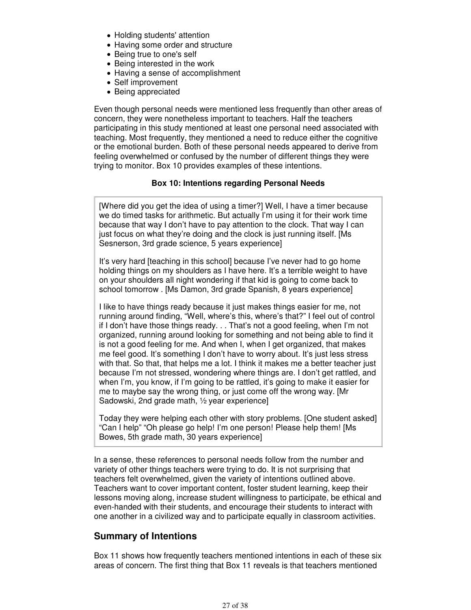- Holding students' attention
- Having some order and structure
- Being true to one's self
- Being interested in the work
- Having a sense of accomplishment
- Self improvement
- Being appreciated

Even though personal needs were mentioned less frequently than other areas of concern, they were nonetheless important to teachers. Half the teachers participating in this study mentioned at least one personal need associated with teaching. Most frequently, they mentioned a need to reduce either the cognitive or the emotional burden. Both of these personal needs appeared to derive from feeling overwhelmed or confused by the number of different things they were trying to monitor. Box 10 provides examples of these intentions.

#### **Box 10: Intentions regarding Personal Needs**

[Where did you get the idea of using a timer?] Well, I have a timer because we do timed tasks for arithmetic. But actually I'm using it for their work time because that way I don't have to pay attention to the clock. That way I can just focus on what they're doing and the clock is just running itself. [Ms Sesnerson, 3rd grade science, 5 years experience]

It's very hard [teaching in this school] because I've never had to go home holding things on my shoulders as I have here. It's a terrible weight to have on your shoulders all night wondering if that kid is going to come back to school tomorrow . [Ms Damon, 3rd grade Spanish, 8 years experience]

I like to have things ready because it just makes things easier for me, not running around finding, "Well, where's this, where's that?" I feel out of control if I don't have those things ready. . . That's not a good feeling, when I'm not organized, running around looking for something and not being able to find it is not a good feeling for me. And when I, when I get organized, that makes me feel good. It's something I don't have to worry about. It's just less stress with that. So that, that helps me a lot. I think it makes me a better teacher just because I'm not stressed, wondering where things are. I don't get rattled, and when I'm, you know, if I'm going to be rattled, it's going to make it easier for me to maybe say the wrong thing, or just come off the wrong way. [Mr Sadowski, 2nd grade math, ½ year experience]

Today they were helping each other with story problems. [One student asked] "Can I help" "Oh please go help! I'm one person! Please help them! [Ms Bowes, 5th grade math, 30 years experience]

In a sense, these references to personal needs follow from the number and variety of other things teachers were trying to do. It is not surprising that teachers felt overwhelmed, given the variety of intentions outlined above. Teachers want to cover important content, foster student learning, keep their lessons moving along, increase student willingness to participate, be ethical and even-handed with their students, and encourage their students to interact with one another in a civilized way and to participate equally in classroom activities.

# **Summary of Intentions**

Box 11 shows how frequently teachers mentioned intentions in each of these six areas of concern. The first thing that Box 11 reveals is that teachers mentioned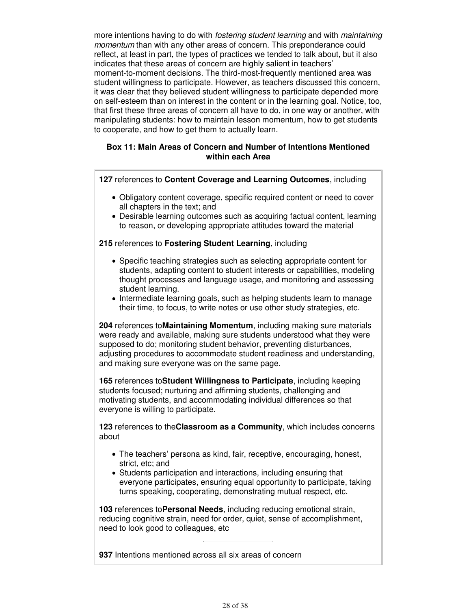more intentions having to do with *fostering student learning* and with *maintaining* momentum than with any other areas of concern. This preponderance could reflect, at least in part, the types of practices we tended to talk about, but it also indicates that these areas of concern are highly salient in teachers' moment-to-moment decisions. The third-most-frequently mentioned area was student willingness to participate. However, as teachers discussed this concern, it was clear that they believed student willingness to participate depended more on self-esteem than on interest in the content or in the learning goal. Notice, too, that first these three areas of concern all have to do, in one way or another, with manipulating students: how to maintain lesson momentum, how to get students to cooperate, and how to get them to actually learn.

#### **Box 11: Main Areas of Concern and Number of Intentions Mentioned within each Area**

**127** references to **Content Coverage and Learning Outcomes**, including

- Obligatory content coverage, specific required content or need to cover all chapters in the text; and
- Desirable learning outcomes such as acquiring factual content, learning to reason, or developing appropriate attitudes toward the material

# **215** references to **Fostering Student Learning**, including

- Specific teaching strategies such as selecting appropriate content for students, adapting content to student interests or capabilities, modeling thought processes and language usage, and monitoring and assessing student learning.
- Intermediate learning goals, such as helping students learn to manage their time, to focus, to write notes or use other study strategies, etc.

**204** references to**Maintaining Momentum**, including making sure materials were ready and available, making sure students understood what they were supposed to do; monitoring student behavior, preventing disturbances, adjusting procedures to accommodate student readiness and understanding, and making sure everyone was on the same page.

**165** references to**Student Willingness to Participate**, including keeping students focused; nurturing and affirming students, challenging and motivating students, and accommodating individual differences so that everyone is willing to participate.

**123** references to the**Classroom as a Community**, which includes concerns about

- The teachers' persona as kind, fair, receptive, encouraging, honest, strict, etc; and
- Students participation and interactions, including ensuring that everyone participates, ensuring equal opportunity to participate, taking turns speaking, cooperating, demonstrating mutual respect, etc.

**103** references to**Personal Needs**, including reducing emotional strain, reducing cognitive strain, need for order, quiet, sense of accomplishment, need to look good to colleagues, etc

**937** Intentions mentioned across all six areas of concern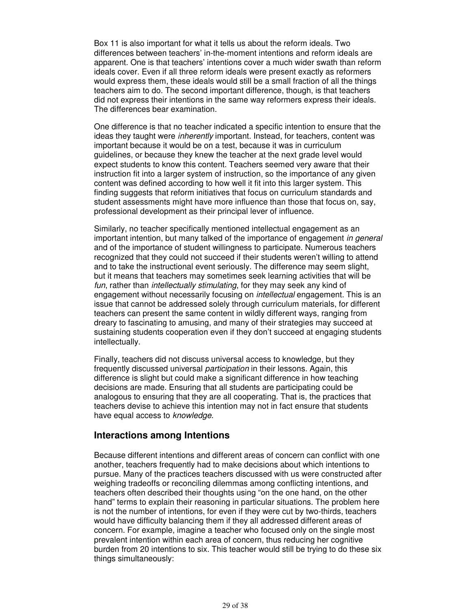Box 11 is also important for what it tells us about the reform ideals. Two differences between teachers' in-the-moment intentions and reform ideals are apparent. One is that teachers' intentions cover a much wider swath than reform ideals cover. Even if all three reform ideals were present exactly as reformers would express them, these ideals would still be a small fraction of all the things teachers aim to do. The second important difference, though, is that teachers did not express their intentions in the same way reformers express their ideals. The differences bear examination.

One difference is that no teacher indicated a specific intention to ensure that the ideas they taught were inherently important. Instead, for teachers, content was important because it would be on a test, because it was in curriculum guidelines, or because they knew the teacher at the next grade level would expect students to know this content. Teachers seemed very aware that their instruction fit into a larger system of instruction, so the importance of any given content was defined according to how well it fit into this larger system. This finding suggests that reform initiatives that focus on curriculum standards and student assessments might have more influence than those that focus on, say, professional development as their principal lever of influence.

Similarly, no teacher specifically mentioned intellectual engagement as an important intention, but many talked of the importance of engagement in general and of the importance of student willingness to participate. Numerous teachers recognized that they could not succeed if their students weren't willing to attend and to take the instructional event seriously. The difference may seem slight, but it means that teachers may sometimes seek learning activities that will be fun, rather than *intellectually stimulating*, for they may seek any kind of engagement without necessarily focusing on *intellectual* engagement. This is an issue that cannot be addressed solely through curriculum materials, for different teachers can present the same content in wildly different ways, ranging from dreary to fascinating to amusing, and many of their strategies may succeed at sustaining students cooperation even if they don't succeed at engaging students intellectually.

Finally, teachers did not discuss universal access to knowledge, but they frequently discussed universal participation in their lessons. Again, this difference is slight but could make a significant difference in how teaching decisions are made. Ensuring that all students are participating could be analogous to ensuring that they are all cooperating. That is, the practices that teachers devise to achieve this intention may not in fact ensure that students have equal access to knowledge.

# **Interactions among Intentions**

Because different intentions and different areas of concern can conflict with one another, teachers frequently had to make decisions about which intentions to pursue. Many of the practices teachers discussed with us were constructed after weighing tradeoffs or reconciling dilemmas among conflicting intentions, and teachers often described their thoughts using "on the one hand, on the other hand" terms to explain their reasoning in particular situations. The problem here is not the number of intentions, for even if they were cut by two-thirds, teachers would have difficulty balancing them if they all addressed different areas of concern. For example, imagine a teacher who focused only on the single most prevalent intention within each area of concern, thus reducing her cognitive burden from 20 intentions to six. This teacher would still be trying to do these six things simultaneously: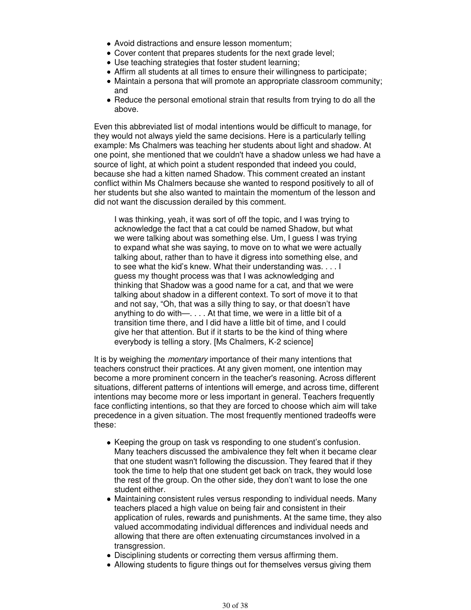- Avoid distractions and ensure lesson momentum;
- Cover content that prepares students for the next grade level;
- Use teaching strategies that foster student learning;
- Affirm all students at all times to ensure their willingness to participate;
- Maintain a persona that will promote an appropriate classroom community; and
- Reduce the personal emotional strain that results from trying to do all the above.

Even this abbreviated list of modal intentions would be difficult to manage, for they would not always yield the same decisions. Here is a particularly telling example: Ms Chalmers was teaching her students about light and shadow. At one point, she mentioned that we couldn't have a shadow unless we had have a source of light, at which point a student responded that indeed you could, because she had a kitten named Shadow. This comment created an instant conflict within Ms Chalmers because she wanted to respond positively to all of her students but she also wanted to maintain the momentum of the lesson and did not want the discussion derailed by this comment.

I was thinking, yeah, it was sort of off the topic, and I was trying to acknowledge the fact that a cat could be named Shadow, but what we were talking about was something else. Um, I guess I was trying to expand what she was saying, to move on to what we were actually talking about, rather than to have it digress into something else, and to see what the kid's knew. What their understanding was. . . . I guess my thought process was that I was acknowledging and thinking that Shadow was a good name for a cat, and that we were talking about shadow in a different context. To sort of move it to that and not say, "Oh, that was a silly thing to say, or that doesn't have anything to do with—. . . . At that time, we were in a little bit of a transition time there, and I did have a little bit of time, and I could give her that attention. But if it starts to be the kind of thing where everybody is telling a story. [Ms Chalmers, K-2 science]

It is by weighing the *momentary* importance of their many intentions that teachers construct their practices. At any given moment, one intention may become a more prominent concern in the teacher's reasoning. Across different situations, different patterns of intentions will emerge, and across time, different intentions may become more or less important in general. Teachers frequently face conflicting intentions, so that they are forced to choose which aim will take precedence in a given situation. The most frequently mentioned tradeoffs were these:

- Keeping the group on task vs responding to one student's confusion. Many teachers discussed the ambivalence they felt when it became clear that one student wasn't following the discussion. They feared that if they took the time to help that one student get back on track, they would lose the rest of the group. On the other side, they don't want to lose the one student either.
- Maintaining consistent rules versus responding to individual needs. Many teachers placed a high value on being fair and consistent in their application of rules, rewards and punishments. At the same time, they also valued accommodating individual differences and individual needs and allowing that there are often extenuating circumstances involved in a transgression.
- Disciplining students or correcting them versus affirming them.
- Allowing students to figure things out for themselves versus giving them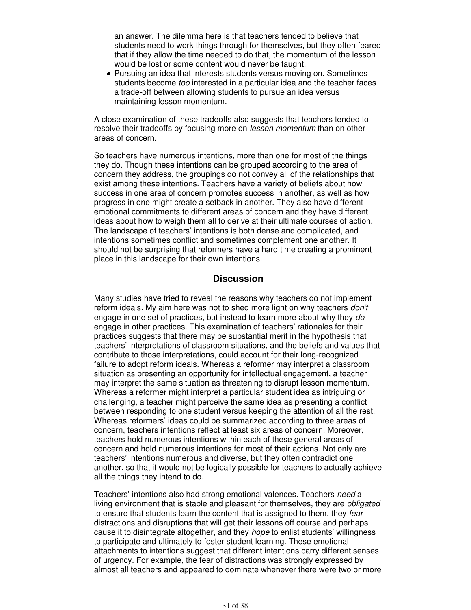an answer. The dilemma here is that teachers tended to believe that students need to work things through for themselves, but they often feared that if they allow the time needed to do that, the momentum of the lesson would be lost or some content would never be taught.

• Pursuing an idea that interests students versus moving on. Sometimes students become too interested in a particular idea and the teacher faces a trade-off between allowing students to pursue an idea versus maintaining lesson momentum.

A close examination of these tradeoffs also suggests that teachers tended to resolve their tradeoffs by focusing more on *lesson momentum* than on other areas of concern.

So teachers have numerous intentions, more than one for most of the things they do. Though these intentions can be grouped according to the area of concern they address, the groupings do not convey all of the relationships that exist among these intentions. Teachers have a variety of beliefs about how success in one area of concern promotes success in another, as well as how progress in one might create a setback in another. They also have different emotional commitments to different areas of concern and they have different ideas about how to weigh them all to derive at their ultimate courses of action. The landscape of teachers' intentions is both dense and complicated, and intentions sometimes conflict and sometimes complement one another. It should not be surprising that reformers have a hard time creating a prominent place in this landscape for their own intentions.

# **Discussion**

Many studies have tried to reveal the reasons why teachers do not implement reform ideals. My aim here was not to shed more light on why teachers *don't* engage in one set of practices, but instead to learn more about why they do engage in other practices. This examination of teachers' rationales for their practices suggests that there may be substantial merit in the hypothesis that teachers' interpretations of classroom situations, and the beliefs and values that contribute to those interpretations, could account for their long-recognized failure to adopt reform ideals. Whereas a reformer may interpret a classroom situation as presenting an opportunity for intellectual engagement, a teacher may interpret the same situation as threatening to disrupt lesson momentum. Whereas a reformer might interpret a particular student idea as intriguing or challenging, a teacher might perceive the same idea as presenting a conflict between responding to one student versus keeping the attention of all the rest. Whereas reformers' ideas could be summarized according to three areas of concern, teachers intentions reflect at least six areas of concern. Moreover, teachers hold numerous intentions within each of these general areas of concern and hold numerous intentions for most of their actions. Not only are teachers' intentions numerous and diverse, but they often contradict one another, so that it would not be logically possible for teachers to actually achieve all the things they intend to do.

Teachers' intentions also had strong emotional valences. Teachers need a living environment that is stable and pleasant for themselves, they are obligated to ensure that students learn the content that is assigned to them, they fear distractions and disruptions that will get their lessons off course and perhaps cause it to disintegrate altogether, and they *hope* to enlist students' willingness to participate and ultimately to foster student learning. These emotional attachments to intentions suggest that different intentions carry different senses of urgency. For example, the fear of distractions was strongly expressed by almost all teachers and appeared to dominate whenever there were two or more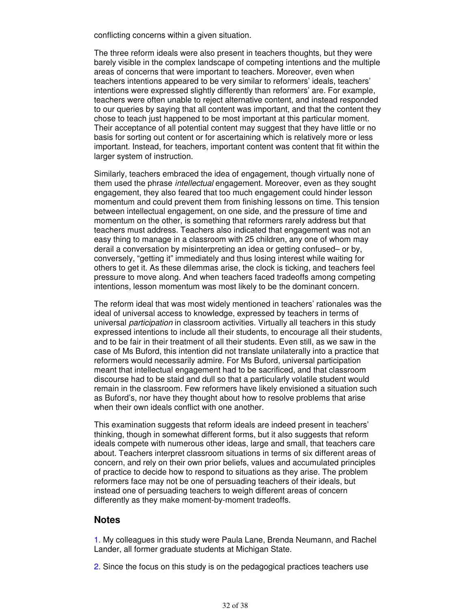conflicting concerns within a given situation.

The three reform ideals were also present in teachers thoughts, but they were barely visible in the complex landscape of competing intentions and the multiple areas of concerns that were important to teachers. Moreover, even when teachers intentions appeared to be very similar to reformers' ideals, teachers' intentions were expressed slightly differently than reformers' are. For example, teachers were often unable to reject alternative content, and instead responded to our queries by saying that all content was important, and that the content they chose to teach just happened to be most important at this particular moment. Their acceptance of all potential content may suggest that they have little or no basis for sorting out content or for ascertaining which is relatively more or less important. Instead, for teachers, important content was content that fit within the larger system of instruction.

Similarly, teachers embraced the idea of engagement, though virtually none of them used the phrase *intellectual* engagement. Moreover, even as they sought engagement, they also feared that too much engagement could hinder lesson momentum and could prevent them from finishing lessons on time. This tension between intellectual engagement, on one side, and the pressure of time and momentum on the other, is something that reformers rarely address but that teachers must address. Teachers also indicated that engagement was not an easy thing to manage in a classroom with 25 children, any one of whom may derail a conversation by misinterpreting an idea or getting confused– or by, conversely, "getting it" immediately and thus losing interest while waiting for others to get it. As these dilemmas arise, the clock is ticking, and teachers feel pressure to move along. And when teachers faced tradeoffs among competing intentions, lesson momentum was most likely to be the dominant concern.

The reform ideal that was most widely mentioned in teachers' rationales was the ideal of universal access to knowledge, expressed by teachers in terms of universal participation in classroom activities. Virtually all teachers in this study expressed intentions to include all their students, to encourage all their students, and to be fair in their treatment of all their students. Even still, as we saw in the case of Ms Buford, this intention did not translate unilaterally into a practice that reformers would necessarily admire. For Ms Buford, universal participation meant that intellectual engagement had to be sacrificed, and that classroom discourse had to be staid and dull so that a particularly volatile student would remain in the classroom. Few reformers have likely envisioned a situation such as Buford's, nor have they thought about how to resolve problems that arise when their own ideals conflict with one another.

This examination suggests that reform ideals are indeed present in teachers' thinking, though in somewhat different forms, but it also suggests that reform ideals compete with numerous other ideas, large and small, that teachers care about. Teachers interpret classroom situations in terms of six different areas of concern, and rely on their own prior beliefs, values and accumulated principles of practice to decide how to respond to situations as they arise. The problem reformers face may not be one of persuading teachers of their ideals, but instead one of persuading teachers to weigh different areas of concern differently as they make moment-by-moment tradeoffs.

#### **Notes**

1. My colleagues in this study were Paula Lane, Brenda Neumann, and Rachel Lander, all former graduate students at Michigan State.

2. Since the focus on this study is on the pedagogical practices teachers use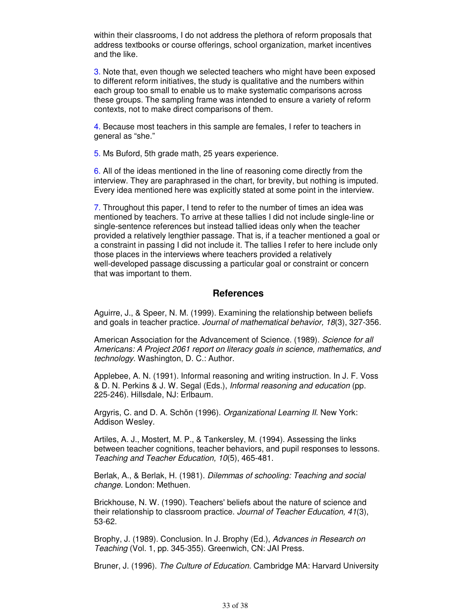within their classrooms, I do not address the plethora of reform proposals that address textbooks or course offerings, school organization, market incentives and the like.

3. Note that, even though we selected teachers who might have been exposed to different reform initiatives, the study is qualitative and the numbers within each group too small to enable us to make systematic comparisons across these groups. The sampling frame was intended to ensure a variety of reform contexts, not to make direct comparisons of them.

4. Because most teachers in this sample are females, I refer to teachers in general as "she."

5. Ms Buford, 5th grade math, 25 years experience.

6. All of the ideas mentioned in the line of reasoning come directly from the interview. They are paraphrased in the chart, for brevity, but nothing is imputed. Every idea mentioned here was explicitly stated at some point in the interview.

7. Throughout this paper, I tend to refer to the number of times an idea was mentioned by teachers. To arrive at these tallies I did not include single-line or single-sentence references but instead tallied ideas only when the teacher provided a relatively lengthier passage. That is, if a teacher mentioned a goal or a constraint in passing I did not include it. The tallies I refer to here include only those places in the interviews where teachers provided a relatively well-developed passage discussing a particular goal or constraint or concern that was important to them.

# **References**

Aguirre, J., & Speer, N. M. (1999). Examining the relationship between beliefs and goals in teacher practice. Journal of mathematical behavior, 18(3), 327-356.

American Association for the Advancement of Science. (1989). Science for all Americans: A Project 2061 report on literacy goals in science, mathematics, and technology. Washington, D. C.: Author.

Applebee, A. N. (1991). Informal reasoning and writing instruction. In J. F. Voss & D. N. Perkins & J. W. Segal (Eds.), Informal reasoning and education (pp. 225-246). Hillsdale, NJ: Erlbaum.

Argyris, C. and D. A. Schön (1996). Organizational Learning II. New York: Addison Wesley.

Artiles, A. J., Mostert, M. P., & Tankersley, M. (1994). Assessing the links between teacher cognitions, teacher behaviors, and pupil responses to lessons. Teaching and Teacher Education, 10(5), 465-481.

Berlak, A., & Berlak, H. (1981). Dilemmas of schooling: Teaching and social change. London: Methuen.

Brickhouse, N. W. (1990). Teachers' beliefs about the nature of science and their relationship to classroom practice. Journal of Teacher Education, 41(3), 53-62.

Brophy, J. (1989). Conclusion. In J. Brophy (Ed.), Advances in Research on Teaching (Vol. 1, pp. 345-355). Greenwich, CN: JAI Press.

Bruner, J. (1996). The Culture of Education. Cambridge MA: Harvard University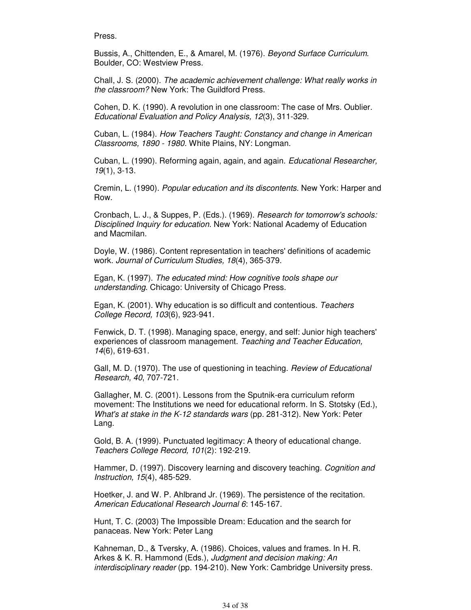Press.

Bussis, A., Chittenden, E., & Amarel, M. (1976). Beyond Surface Curriculum. Boulder, CO: Westview Press.

Chall, J. S. (2000). The academic achievement challenge: What really works in the classroom? New York: The Guildford Press.

Cohen, D. K. (1990). A revolution in one classroom: The case of Mrs. Oublier. Educational Evaluation and Policy Analysis, 12(3), 311-329.

Cuban, L. (1984). How Teachers Taught: Constancy and change in American Classrooms, 1890 - 1980. White Plains, NY: Longman.

Cuban, L. (1990). Reforming again, again, and again. Educational Researcher, 19(1), 3-13.

Cremin, L. (1990). Popular education and its discontents. New York: Harper and Row.

Cronbach, L. J., & Suppes, P. (Eds.). (1969). Research for tomorrow's schools: Disciplined Inquiry for education. New York: National Academy of Education and Macmilan.

Doyle, W. (1986). Content representation in teachers' definitions of academic work. Journal of Curriculum Studies, 18(4), 365-379.

Egan, K. (1997). The educated mind: How cognitive tools shape our understanding. Chicago: University of Chicago Press.

Egan, K. (2001). Why education is so difficult and contentious. Teachers College Record, 103(6), 923-941.

Fenwick, D. T. (1998). Managing space, energy, and self: Junior high teachers' experiences of classroom management. Teaching and Teacher Education, 14(6), 619-631.

Gall, M. D. (1970). The use of questioning in teaching. Review of Educational Research, 40, 707-721.

Gallagher, M. C. (2001). Lessons from the Sputnik-era curriculum reform movement: The Institutions we need for educational reform. In S. Stotsky (Ed.), What's at stake in the K-12 standards wars (pp. 281-312). New York: Peter Lang.

Gold, B. A. (1999). Punctuated legitimacy: A theory of educational change. Teachers College Record, 101(2): 192-219.

Hammer, D. (1997). Discovery learning and discovery teaching. Cognition and Instruction, 15(4), 485-529.

Hoetker, J. and W. P. Ahlbrand Jr. (1969). The persistence of the recitation. American Educational Research Journal 6: 145-167.

Hunt, T. C. (2003) The Impossible Dream: Education and the search for panaceas. New York: Peter Lang

Kahneman, D., & Tversky, A. (1986). Choices, values and frames. In H. R. Arkes & K. R. Hammond (Eds.), Judgment and decision making: An interdisciplinary reader (pp. 194-210). New York: Cambridge University press.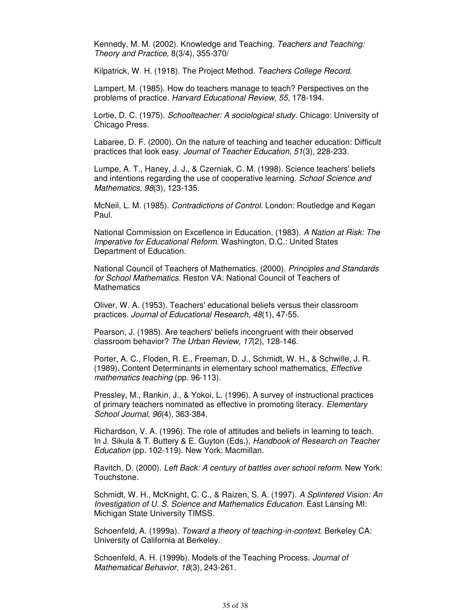Kennedy, M. M. (2002). Knowledge and Teaching. Teachers and Teaching: Theory and Practice, 8(3/4), 355-370/

Kilpatrick, W. H. (1918). The Project Method. Teachers College Record.

Lampert, M. (1985). How do teachers manage to teach? Perspectives on the problems of practice. Harvard Educational Review, 55, 178-194.

Lortie, D. C. (1975). Schoolteacher: A sociological study. Chicago: University of Chicago Press.

Labaree, D. F. (2000). On the nature of teaching and teacher education: Difficult practices that look easy. Journal of Teacher Education, 51(3), 228-233.

Lumpe, A. T., Haney, J. J., & Czerniak, C. M. (1998). Science teachers' beliefs and intentions regarding the use of cooperative learning. School Science and Mathematics, 98(3), 123-135.

McNeil, L. M. (1985). Contradictions of Control. London: Routledge and Kegan Paul.

National Commission on Excellence in Education. (1983). A Nation at Risk: The Imperative for Educational Reform. Washington, D.C.: United States Department of Education.

National Council of Teachers of Mathematics. (2000). Principles and Standards for School Mathematics. Reston VA: National Council of Teachers of **Mathematics** 

Oliver, W. A. (1953). Teachers' educational beliefs versus their classroom practices. Journal of Educational Research, 48(1), 47-55.

Pearson, J. (1985). Are teachers' beliefs incongruent with their observed classroom behavior? The Urban Review, 17(2), 128-146.

Porter, A. C., Floden, R. E., Freeman, D. J., Schmidt, W. H., & Schwille, J. R. (1989). Content Determinants in elementary school mathematics, Effective mathematics teaching (pp. 96-113).

Pressley, M., Rankin, J., & Yokoi, L. (1996). A survey of instructional practices of primary teachers nominated as effective in promoting literacy. Elementary School Journal, 96(4), 363-384.

Richardson, V. A. (1996). The role of attitudes and beliefs in learning to teach. In J. Sikula & T. Buttery & E. Guyton (Eds.), Handbook of Research on Teacher Education (pp. 102-119). New York: Macmillan.

Ravitch, D. (2000). Left Back: A century of battles over school reform. New York: Touchstone.

Schmidt, W. H., McKnight, C. C., & Raizen, S. A. (1997). A Splintered Vision: An Investigation of U. S. Science and Mathematics Education. East Lansing MI: Michigan State University TIMSS.

Schoenfeld, A. (1999a). Toward a theory of teaching-in-context. Berkeley CA: University of California at Berkeley.

Schoenfeld, A. H. (1999b). Models of the Teaching Process. Journal of Mathematical Behavior, 18(3), 243-261.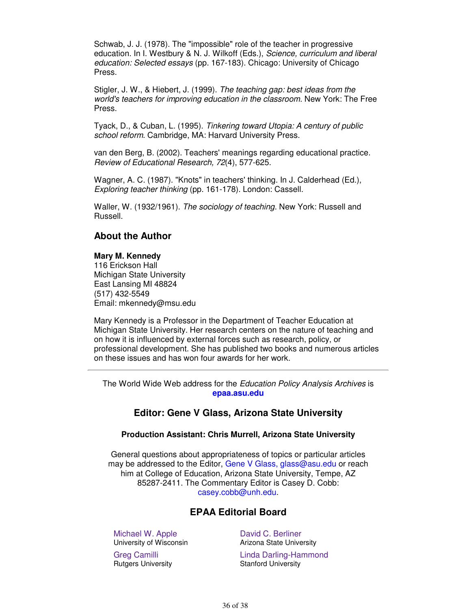Schwab, J. J. (1978). The "impossible" role of the teacher in progressive education. In I. Westbury & N. J. Wilkoff (Eds.), Science, curriculum and liberal education: Selected essays (pp. 167-183). Chicago: University of Chicago Press.

Stigler, J. W., & Hiebert, J. (1999). The teaching gap: best ideas from the world's teachers for improving education in the classroom. New York: The Free Press.

Tyack, D., & Cuban, L. (1995). Tinkering toward Utopia: A century of public school reform. Cambridge, MA: Harvard University Press.

van den Berg, B. (2002). Teachers' meanings regarding educational practice. Review of Educational Research, 72(4), 577-625.

Wagner, A. C. (1987). "Knots" in teachers' thinking. In J. Calderhead (Ed.), Exploring teacher thinking (pp. 161-178). London: Cassell.

Waller, W. (1932/1961). The sociology of teaching. New York: Russell and Russell.

# **About the Author**

# **Mary M. Kennedy**

116 Erickson Hall Michigan State University East Lansing MI 48824 (517) 432-5549 Email: mkennedy@msu.edu

Mary Kennedy is a Professor in the Department of Teacher Education at Michigan State University. Her research centers on the nature of teaching and on how it is influenced by external forces such as research, policy, or professional development. She has published two books and numerous articles on these issues and has won four awards for her work.

The World Wide Web address for the Education Policy Analysis Archives is **epaa.asu.edu**

# **Editor: Gene V Glass, Arizona State University**

#### **Production Assistant: Chris Murrell, Arizona State University**

General questions about appropriateness of topics or particular articles may be addressed to the Editor, Gene V Glass, glass@asu.edu or reach him at College of Education, Arizona State University, Tempe, AZ 85287-2411. The Commentary Editor is Casey D. Cobb: casey.cobb@unh.edu.

# **EPAA Editorial Board**

Michael W. Apple University of Wisconsin

Greg Camilli Rutgers University

David C. Berliner Arizona State University Linda Darling-Hammond Stanford University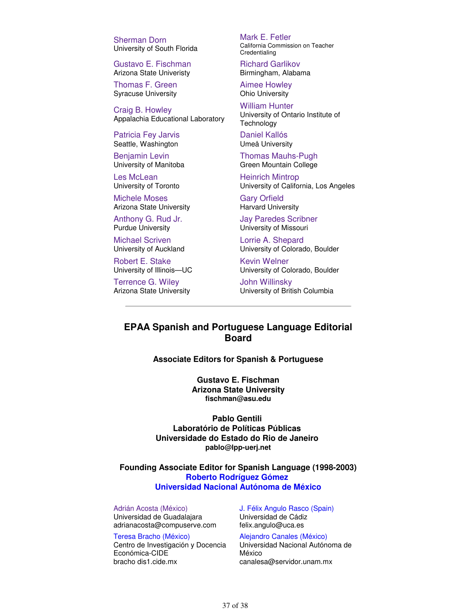Sherman Dorn University of South Florida

Gustavo E. Fischman Arizona State Univeristy

Thomas F. Green Syracuse University

Craig B. Howley Appalachia Educational Laboratory

Patricia Fey Jarvis Seattle, Washington

Benjamin Levin University of Manitoba

Les McLean University of Toronto

Michele Moses Arizona State University

Anthony G. Rud Jr. Purdue University

Michael Scriven University of Auckland

Robert E. Stake University of Illinois—UC

Terrence G. Wiley Arizona State University Mark E. Fetler California Commission on Teacher Credentialing

Richard Garlikov Birmingham, Alabama

Aimee Howley Ohio University

William Hunter University of Ontario Institute of **Technology** 

Daniel Kallós Umeå University

Thomas Mauhs-Pugh Green Mountain College

Heinrich Mintrop University of California, Los Angeles

Gary Orfield Harvard University

Jay Paredes Scribner University of Missouri

Lorrie A. Shepard University of Colorado, Boulder

Kevin Welner University of Colorado, Boulder

John Willinsky University of British Columbia

# **EPAA Spanish and Portuguese Language Editorial Board**

**Associate Editors for Spanish & Portuguese**

**Gustavo E. Fischman Arizona State University fischman@asu.edu**

**Pablo Gentili Laboratório de Políticas Públicas Universidade do Estado do Rio de Janeiro pablo@lpp-uerj.net**

**Founding Associate Editor for Spanish Language (1998-2003) Roberto Rodríguez Gómez Universidad Nacional Autónoma de México**

Adrián Acosta (México) Universidad de Guadalajara adrianacosta@compuserve.com

Teresa Bracho (México) Centro de Investigación y Docencia Económica-CIDE bracho dis1.cide.mx

J. Félix Angulo Rasco (Spain) Universidad de Cádiz felix.angulo@uca.es

Alejandro Canales (México) Universidad Nacional Autónoma de México canalesa@servidor.unam.mx

37 of 38